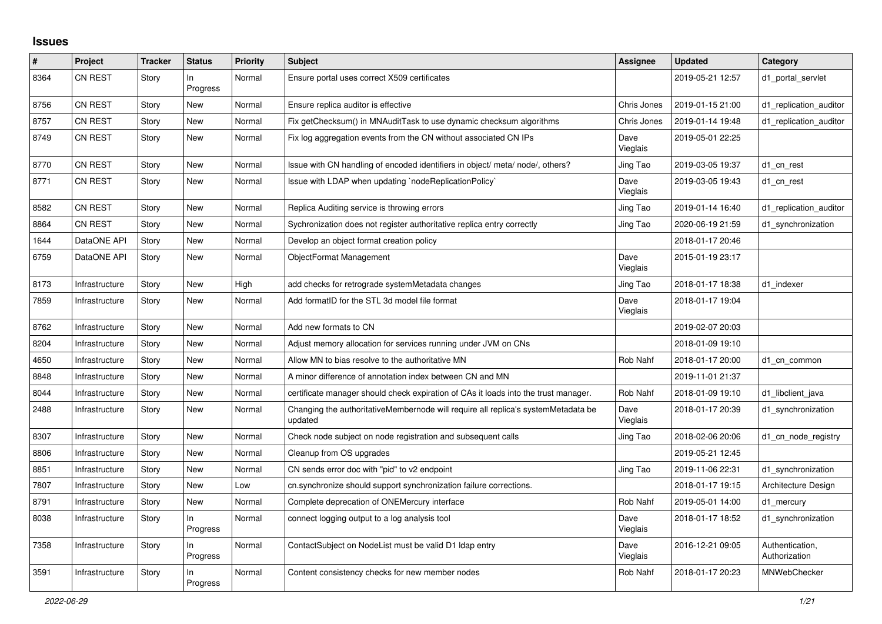## **Issues**

| #    | Project        | <b>Tracker</b> | <b>Status</b>   | <b>Priority</b> | <b>Subject</b>                                                                               | <b>Assignee</b>  | <b>Updated</b>   | Category                         |
|------|----------------|----------------|-----------------|-----------------|----------------------------------------------------------------------------------------------|------------------|------------------|----------------------------------|
| 8364 | <b>CN REST</b> | Story          | In<br>Progress  | Normal          | Ensure portal uses correct X509 certificates                                                 |                  | 2019-05-21 12:57 | d1_portal_servlet                |
| 8756 | CN REST        | Story          | New             | Normal          | Ensure replica auditor is effective                                                          | Chris Jones      | 2019-01-15 21:00 | d1 replication auditor           |
| 8757 | CN REST        | Story          | <b>New</b>      | Normal          | Fix getChecksum() in MNAuditTask to use dynamic checksum algorithms                          | Chris Jones      | 2019-01-14 19:48 | d1_replication_auditor           |
| 8749 | <b>CN REST</b> | Story          | <b>New</b>      | Normal          | Fix log aggregation events from the CN without associated CN IPs                             | Dave<br>Vieglais | 2019-05-01 22:25 |                                  |
| 8770 | CN REST        | Story          | <b>New</b>      | Normal          | Issue with CN handling of encoded identifiers in object/ meta/ node/, others?                | Jing Tao         | 2019-03-05 19:37 | d1 cn rest                       |
| 8771 | CN REST        | Story          | New             | Normal          | Issue with LDAP when updating `nodeReplicationPolicy`                                        | Dave<br>Vieglais | 2019-03-05 19:43 | d1 cn rest                       |
| 8582 | <b>CN REST</b> | Story          | New             | Normal          | Replica Auditing service is throwing errors                                                  | Jing Tao         | 2019-01-14 16:40 | d1 replication auditor           |
| 8864 | CN REST        | Story          | New             | Normal          | Sychronization does not register authoritative replica entry correctly                       | Jing Tao         | 2020-06-19 21:59 | d1 synchronization               |
| 1644 | DataONE API    | Story          | New             | Normal          | Develop an object format creation policy                                                     |                  | 2018-01-17 20:46 |                                  |
| 6759 | DataONE API    | Story          | <b>New</b>      | Normal          | ObjectFormat Management                                                                      | Dave<br>Vieglais | 2015-01-19 23:17 |                                  |
| 8173 | Infrastructure | Story          | <b>New</b>      | High            | add checks for retrograde systemMetadata changes                                             | Jing Tao         | 2018-01-17 18:38 | d1 indexer                       |
| 7859 | Infrastructure | Story          | New             | Normal          | Add formatID for the STL 3d model file format                                                | Dave<br>Vieglais | 2018-01-17 19:04 |                                  |
| 8762 | Infrastructure | Story          | New             | Normal          | Add new formats to CN                                                                        |                  | 2019-02-07 20:03 |                                  |
| 8204 | Infrastructure | Story          | <b>New</b>      | Normal          | Adjust memory allocation for services running under JVM on CNs                               |                  | 2018-01-09 19:10 |                                  |
| 4650 | Infrastructure | Story          | <b>New</b>      | Normal          | Allow MN to bias resolve to the authoritative MN                                             | Rob Nahf         | 2018-01-17 20:00 | d1_cn_common                     |
| 8848 | Infrastructure | Story          | <b>New</b>      | Normal          | A minor difference of annotation index between CN and MN                                     |                  | 2019-11-01 21:37 |                                  |
| 8044 | Infrastructure | Story          | <b>New</b>      | Normal          | certificate manager should check expiration of CAs it loads into the trust manager.          | Rob Nahf         | 2018-01-09 19:10 | d1_libclient_java                |
| 2488 | Infrastructure | Story          | New             | Normal          | Changing the authoritativeMembernode will require all replica's systemMetadata be<br>updated | Dave<br>Vieglais | 2018-01-17 20:39 | d1_synchronization               |
| 8307 | Infrastructure | Story          | New             | Normal          | Check node subject on node registration and subsequent calls                                 | Jing Tao         | 2018-02-06 20:06 | d1 cn node registry              |
| 8806 | Infrastructure | Story          | New             | Normal          | Cleanup from OS upgrades                                                                     |                  | 2019-05-21 12:45 |                                  |
| 8851 | Infrastructure | Story          | <b>New</b>      | Normal          | CN sends error doc with "pid" to v2 endpoint                                                 | Jing Tao         | 2019-11-06 22:31 | d1 synchronization               |
| 7807 | Infrastructure | Story          | <b>New</b>      | Low             | cn.synchronize should support synchronization failure corrections.                           |                  | 2018-01-17 19:15 | Architecture Design              |
| 8791 | Infrastructure | Story          | New             | Normal          | Complete deprecation of ONEMercury interface                                                 | Rob Nahf         | 2019-05-01 14:00 | d1_mercury                       |
| 8038 | Infrastructure | Story          | In.<br>Progress | Normal          | connect logging output to a log analysis tool                                                | Dave<br>Vieglais | 2018-01-17 18:52 | d1_synchronization               |
| 7358 | Infrastructure | Story          | In<br>Progress  | Normal          | ContactSubject on NodeList must be valid D1 Idap entry                                       | Dave<br>Vieglais | 2016-12-21 09:05 | Authentication,<br>Authorization |
| 3591 | Infrastructure | Story          | In<br>Progress  | Normal          | Content consistency checks for new member nodes                                              | Rob Nahf         | 2018-01-17 20:23 | MNWebChecker                     |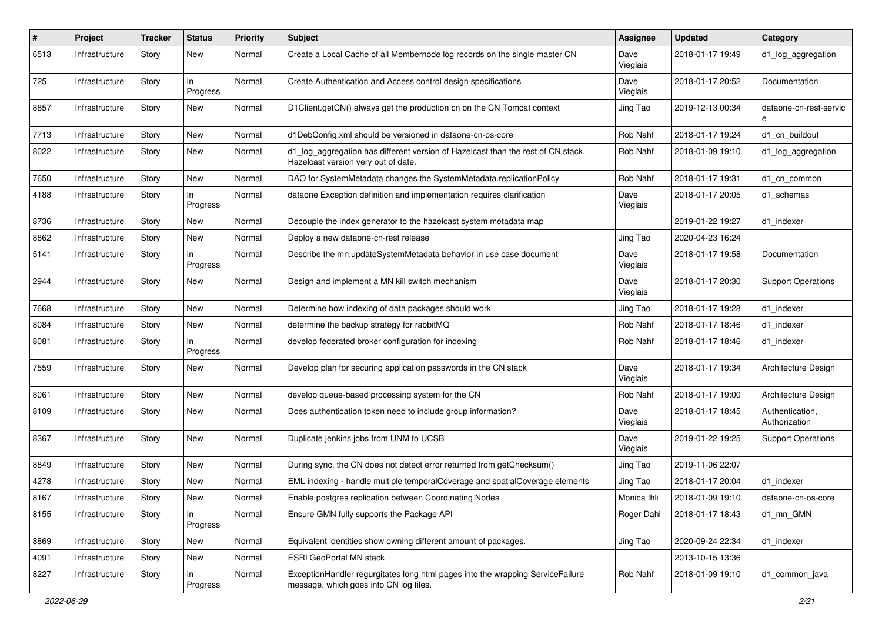| #    | Project        | <b>Tracker</b> | <b>Status</b>   | <b>Priority</b> | <b>Subject</b>                                                                                                           | <b>Assignee</b>  | <b>Updated</b>   | Category                         |
|------|----------------|----------------|-----------------|-----------------|--------------------------------------------------------------------------------------------------------------------------|------------------|------------------|----------------------------------|
| 6513 | Infrastructure | Story          | New             | Normal          | Create a Local Cache of all Membernode log records on the single master CN                                               | Dave<br>Vieglais | 2018-01-17 19:49 | d1_log_aggregation               |
| 725  | Infrastructure | Story          | In<br>Progress  | Normal          | Create Authentication and Access control design specifications                                                           | Dave<br>Vieglais | 2018-01-17 20:52 | Documentation                    |
| 8857 | Infrastructure | Story          | New             | Normal          | D1Client.getCN() always get the production cn on the CN Tomcat context                                                   | Jing Tao         | 2019-12-13 00:34 | dataone-cn-rest-servic<br>e      |
| 7713 | Infrastructure | Story          | New             | Normal          | d1DebConfig.xml should be versioned in dataone-cn-os-core                                                                | Rob Nahf         | 2018-01-17 19:24 | d1 cn buildout                   |
| 8022 | Infrastructure | Story          | New             | Normal          | d1_log_aggregation has different version of Hazelcast than the rest of CN stack.<br>Hazelcast version very out of date.  | Rob Nahf         | 2018-01-09 19:10 | d1_log_aggregation               |
| 7650 | Infrastructure | Story          | New             | Normal          | DAO for SystemMetadata changes the SystemMetadata.replicationPolicy                                                      | Rob Nahf         | 2018-01-17 19:31 | d1_cn_common                     |
| 4188 | Infrastructure | Story          | In<br>Progress  | Normal          | dataone Exception definition and implementation requires clarification                                                   | Dave<br>Vieglais | 2018-01-17 20:05 | d1 schemas                       |
| 8736 | Infrastructure | Story          | New             | Normal          | Decouple the index generator to the hazelcast system metadata map                                                        |                  | 2019-01-22 19:27 | d1_indexer                       |
| 8862 | Infrastructure | Story          | New             | Normal          | Deploy a new dataone-cn-rest release                                                                                     | Jing Tao         | 2020-04-23 16:24 |                                  |
| 5141 | Infrastructure | Story          | ln.<br>Progress | Normal          | Describe the mn.updateSystemMetadata behavior in use case document                                                       | Dave<br>Vieglais | 2018-01-17 19:58 | Documentation                    |
| 2944 | Infrastructure | Story          | New             | Normal          | Design and implement a MN kill switch mechanism                                                                          | Dave<br>Vieglais | 2018-01-17 20:30 | <b>Support Operations</b>        |
| 7668 | Infrastructure | Story          | New             | Normal          | Determine how indexing of data packages should work                                                                      | Jing Tao         | 2018-01-17 19:28 | d1_indexer                       |
| 8084 | Infrastructure | Story          | New             | Normal          | determine the backup strategy for rabbitMQ                                                                               | Rob Nahf         | 2018-01-17 18:46 | d1 indexer                       |
| 8081 | Infrastructure | Story          | ln.<br>Progress | Normal          | develop federated broker configuration for indexing                                                                      | Rob Nahf         | 2018-01-17 18:46 | d1 indexer                       |
| 7559 | Infrastructure | Story          | New             | Normal          | Develop plan for securing application passwords in the CN stack                                                          | Dave<br>Vieglais | 2018-01-17 19:34 | Architecture Design              |
| 8061 | Infrastructure | Story          | New             | Normal          | develop queue-based processing system for the CN                                                                         | Rob Nahf         | 2018-01-17 19:00 | Architecture Design              |
| 8109 | Infrastructure | Story          | New             | Normal          | Does authentication token need to include group information?                                                             | Dave<br>Vieglais | 2018-01-17 18:45 | Authentication,<br>Authorization |
| 8367 | Infrastructure | Story          | New             | Normal          | Duplicate jenkins jobs from UNM to UCSB                                                                                  | Dave<br>Vieglais | 2019-01-22 19:25 | <b>Support Operations</b>        |
| 8849 | Infrastructure | Story          | New             | Normal          | During sync, the CN does not detect error returned from getChecksum()                                                    | Jing Tao         | 2019-11-06 22:07 |                                  |
| 4278 | Infrastructure | Story          | New             | Normal          | EML indexing - handle multiple temporalCoverage and spatialCoverage elements                                             | Jing Tao         | 2018-01-17 20:04 | d1 indexer                       |
| 8167 | Infrastructure | Story          | New             | Normal          | Enable postgres replication between Coordinating Nodes                                                                   | Monica Ihli      | 2018-01-09 19:10 | dataone-cn-os-core               |
| 8155 | Infrastructure | Story          | In<br>Progress  | Normal          | Ensure GMN fully supports the Package API                                                                                | Roger Dahl       | 2018-01-17 18:43 | d1 mn GMN                        |
| 8869 | Infrastructure | Story          | New             | Normal          | Equivalent identities show owning different amount of packages.                                                          | Jing Tao         | 2020-09-24 22:34 | d1_indexer                       |
| 4091 | Infrastructure | Story          | New             | Normal          | <b>ESRI GeoPortal MN stack</b>                                                                                           |                  | 2013-10-15 13:36 |                                  |
| 8227 | Infrastructure | Story          | In<br>Progress  | Normal          | ExceptionHandler regurgitates long html pages into the wrapping ServiceFailure<br>message, which goes into CN log files. | Rob Nahf         | 2018-01-09 19:10 | d1_common_java                   |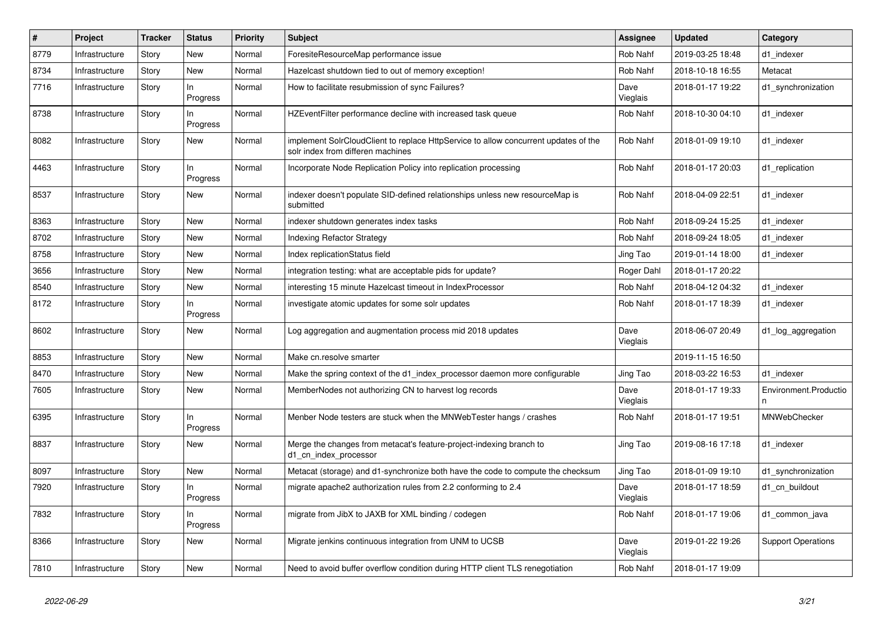| $\#$ | Project        | <b>Tracker</b> | <b>Status</b>   | <b>Priority</b> | <b>Subject</b>                                                                                                           | Assignee         | <b>Updated</b>   | Category                  |
|------|----------------|----------------|-----------------|-----------------|--------------------------------------------------------------------------------------------------------------------------|------------------|------------------|---------------------------|
| 8779 | Infrastructure | Story          | New             | Normal          | ForesiteResourceMap performance issue                                                                                    | Rob Nahf         | 2019-03-25 18:48 | d1_indexer                |
| 8734 | Infrastructure | Story          | New             | Normal          | Hazelcast shutdown tied to out of memory exception!                                                                      | Rob Nahf         | 2018-10-18 16:55 | Metacat                   |
| 7716 | Infrastructure | Story          | ln.<br>Progress | Normal          | How to facilitate resubmission of sync Failures?                                                                         | Dave<br>Vieglais | 2018-01-17 19:22 | d1_synchronization        |
| 8738 | Infrastructure | Story          | ln.<br>Progress | Normal          | HZEventFilter performance decline with increased task queue                                                              | Rob Nahf         | 2018-10-30 04:10 | d1 indexer                |
| 8082 | Infrastructure | Story          | New             | Normal          | implement SolrCloudClient to replace HttpService to allow concurrent updates of the<br>solr index from differen machines | Rob Nahf         | 2018-01-09 19:10 | d1_indexer                |
| 4463 | Infrastructure | Story          | In<br>Progress  | Normal          | Incorporate Node Replication Policy into replication processing                                                          | Rob Nahf         | 2018-01-17 20:03 | d1_replication            |
| 8537 | Infrastructure | Story          | New             | Normal          | indexer doesn't populate SID-defined relationships unless new resourceMap is<br>submitted                                | Rob Nahf         | 2018-04-09 22:51 | d1_indexer                |
| 8363 | Infrastructure | Story          | New             | Normal          | indexer shutdown generates index tasks                                                                                   | Rob Nahf         | 2018-09-24 15:25 | d1_indexer                |
| 8702 | Infrastructure | Story          | <b>New</b>      | Normal          | Indexing Refactor Strategy                                                                                               | Rob Nahf         | 2018-09-24 18:05 | d1_indexer                |
| 8758 | Infrastructure | Story          | New             | Normal          | Index replicationStatus field                                                                                            | Jing Tao         | 2019-01-14 18:00 | d1 indexer                |
| 3656 | Infrastructure | Story          | New             | Normal          | integration testing: what are acceptable pids for update?                                                                | Roger Dahl       | 2018-01-17 20:22 |                           |
| 8540 | Infrastructure | Story          | New             | Normal          | interesting 15 minute Hazelcast timeout in IndexProcessor                                                                | Rob Nahf         | 2018-04-12 04:32 | d1_indexer                |
| 8172 | Infrastructure | Story          | ln.<br>Progress | Normal          | investigate atomic updates for some solr updates                                                                         | Rob Nahf         | 2018-01-17 18:39 | d1_indexer                |
| 8602 | Infrastructure | Story          | New             | Normal          | Log aggregation and augmentation process mid 2018 updates                                                                | Dave<br>Vieglais | 2018-06-07 20:49 | d1_log_aggregation        |
| 8853 | Infrastructure | Story          | New             | Normal          | Make cn.resolve smarter                                                                                                  |                  | 2019-11-15 16:50 |                           |
| 8470 | Infrastructure | Story          | New             | Normal          | Make the spring context of the d1 index processor daemon more configurable                                               | Jing Tao         | 2018-03-22 16:53 | d1 indexer                |
| 7605 | Infrastructure | Story          | New             | Normal          | MemberNodes not authorizing CN to harvest log records                                                                    | Dave<br>Vieglais | 2018-01-17 19:33 | Environment.Productio     |
| 6395 | Infrastructure | Story          | In.<br>Progress | Normal          | Menber Node testers are stuck when the MNWebTester hangs / crashes                                                       | Rob Nahf         | 2018-01-17 19:51 | MNWebChecker              |
| 8837 | Infrastructure | Story          | New             | Normal          | Merge the changes from metacat's feature-project-indexing branch to<br>d1 cn index processor                             | Jing Tao         | 2019-08-16 17:18 | d1_indexer                |
| 8097 | Infrastructure | Story          | New             | Normal          | Metacat (storage) and d1-synchronize both have the code to compute the checksum                                          | Jing Tao         | 2018-01-09 19:10 | d1_synchronization        |
| 7920 | Infrastructure | Story          | ln.<br>Progress | Normal          | migrate apache2 authorization rules from 2.2 conforming to 2.4                                                           | Dave<br>Vieglais | 2018-01-17 18:59 | d1 cn buildout            |
| 7832 | Infrastructure | Story          | In<br>Progress  | Normal          | migrate from JibX to JAXB for XML binding / codegen                                                                      | Rob Nahf         | 2018-01-17 19:06 | d1_common_java            |
| 8366 | Infrastructure | Story          | <b>New</b>      | Normal          | Migrate jenkins continuous integration from UNM to UCSB                                                                  | Dave<br>Vieglais | 2019-01-22 19:26 | <b>Support Operations</b> |
| 7810 | Infrastructure | Story          | New             | Normal          | Need to avoid buffer overflow condition during HTTP client TLS renegotiation                                             | Rob Nahf         | 2018-01-17 19:09 |                           |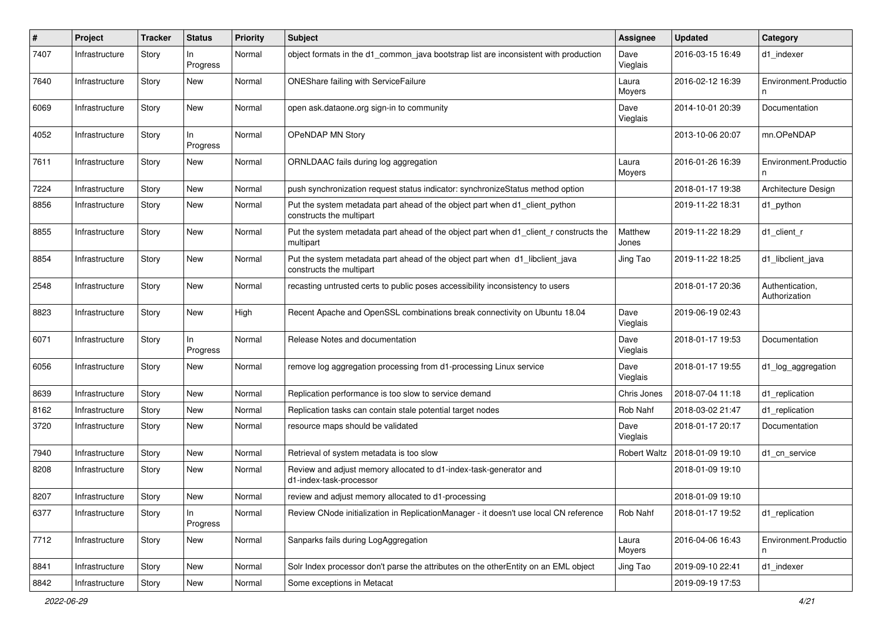| $\pmb{\#}$ | Project        | <b>Tracker</b> | <b>Status</b>  | <b>Priority</b> | <b>Subject</b>                                                                                           | <b>Assignee</b>     | <b>Updated</b>   | Category                         |
|------------|----------------|----------------|----------------|-----------------|----------------------------------------------------------------------------------------------------------|---------------------|------------------|----------------------------------|
| 7407       | Infrastructure | Story          | In<br>Progress | Normal          | object formats in the d1_common_java bootstrap list are inconsistent with production                     | Dave<br>Vieglais    | 2016-03-15 16:49 | d1 indexer                       |
| 7640       | Infrastructure | Story          | <b>New</b>     | Normal          | <b>ONEShare failing with ServiceFailure</b>                                                              | Laura<br>Moyers     | 2016-02-12 16:39 | Environment.Productio<br>n       |
| 6069       | Infrastructure | Story          | New            | Normal          | open ask.dataone.org sign-in to community                                                                | Dave<br>Vieglais    | 2014-10-01 20:39 | Documentation                    |
| 4052       | Infrastructure | Story          | In<br>Progress | Normal          | OPeNDAP MN Story                                                                                         |                     | 2013-10-06 20:07 | mn.OPeNDAP                       |
| 7611       | Infrastructure | Story          | <b>New</b>     | Normal          | ORNLDAAC fails during log aggregation                                                                    | Laura<br>Moyers     | 2016-01-26 16:39 | Environment.Productio            |
| 7224       | Infrastructure | Story          | New            | Normal          | push synchronization request status indicator: synchronizeStatus method option                           |                     | 2018-01-17 19:38 | Architecture Design              |
| 8856       | Infrastructure | Story          | New            | Normal          | Put the system metadata part ahead of the object part when d1_client_python<br>constructs the multipart  |                     | 2019-11-22 18:31 | d1_python                        |
| 8855       | Infrastructure | Story          | <b>New</b>     | Normal          | Put the system metadata part ahead of the object part when d1_client_r constructs the<br>multipart       | Matthew<br>Jones    | 2019-11-22 18:29 | d1 client r                      |
| 8854       | Infrastructure | Story          | New            | Normal          | Put the system metadata part ahead of the object part when d1_libclient_java<br>constructs the multipart | Jing Tao            | 2019-11-22 18:25 | d1_libclient_java                |
| 2548       | Infrastructure | Story          | <b>New</b>     | Normal          | recasting untrusted certs to public poses accessibility inconsistency to users                           |                     | 2018-01-17 20:36 | Authentication,<br>Authorization |
| 8823       | Infrastructure | Story          | <b>New</b>     | High            | Recent Apache and OpenSSL combinations break connectivity on Ubuntu 18.04                                | Dave<br>Vieglais    | 2019-06-19 02:43 |                                  |
| 6071       | Infrastructure | Story          | In<br>Progress | Normal          | Release Notes and documentation                                                                          | Dave<br>Vieglais    | 2018-01-17 19:53 | Documentation                    |
| 6056       | Infrastructure | Story          | <b>New</b>     | Normal          | remove log aggregation processing from d1-processing Linux service                                       | Dave<br>Vieglais    | 2018-01-17 19:55 | d1_log_aggregation               |
| 8639       | Infrastructure | Story          | <b>New</b>     | Normal          | Replication performance is too slow to service demand                                                    | Chris Jones         | 2018-07-04 11:18 | d1_replication                   |
| 8162       | Infrastructure | Story          | <b>New</b>     | Normal          | Replication tasks can contain stale potential target nodes                                               | <b>Rob Nahf</b>     | 2018-03-02 21:47 | d1_replication                   |
| 3720       | Infrastructure | Story          | New            | Normal          | resource maps should be validated                                                                        | Dave<br>Vieglais    | 2018-01-17 20:17 | Documentation                    |
| 7940       | Infrastructure | Story          | New            | Normal          | Retrieval of system metadata is too slow                                                                 | <b>Robert Waltz</b> | 2018-01-09 19:10 | d1_cn_service                    |
| 8208       | Infrastructure | Story          | <b>New</b>     | Normal          | Review and adjust memory allocated to d1-index-task-generator and<br>d1-index-task-processor             |                     | 2018-01-09 19:10 |                                  |
| 8207       | Infrastructure | Story          | New            | Normal          | review and adjust memory allocated to d1-processing                                                      |                     | 2018-01-09 19:10 |                                  |
| 6377       | Infrastructure | Story          | In<br>Progress | Normal          | Review CNode initialization in ReplicationManager - it doesn't use local CN reference                    | Rob Nahf            | 2018-01-17 19:52 | d1_replication                   |
| 7712       | Infrastructure | Story          | <b>New</b>     | Normal          | Sanparks fails during LogAggregation                                                                     | Laura<br>Moyers     | 2016-04-06 16:43 | Environment.Productio            |
| 8841       | Infrastructure | Story          | New            | Normal          | Solr Index processor don't parse the attributes on the otherEntity on an EML object                      | Jing Tao            | 2019-09-10 22:41 | d1_indexer                       |
| 8842       | Infrastructure | Story          | New            | Normal          | Some exceptions in Metacat                                                                               |                     | 2019-09-19 17:53 |                                  |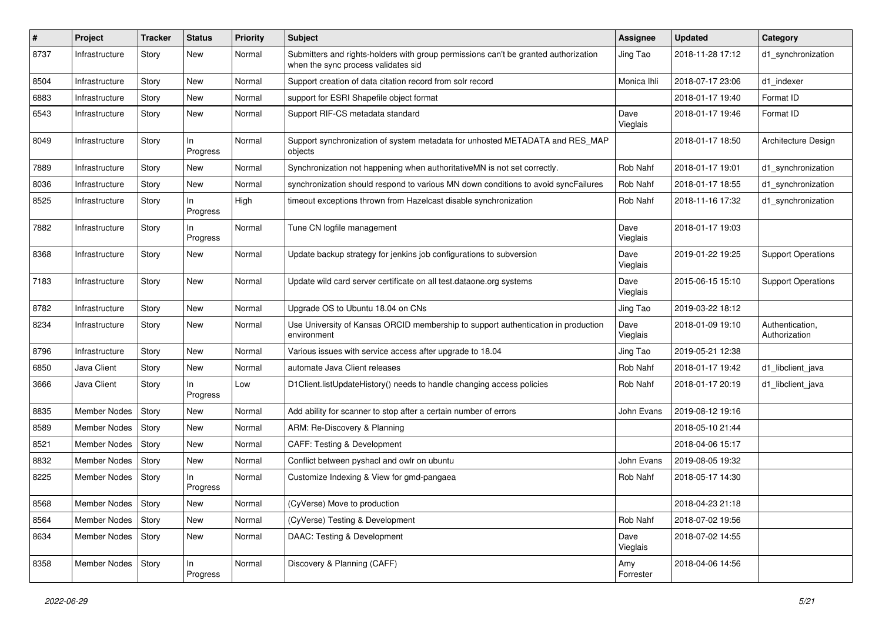| ∦    | Project              | <b>Tracker</b> | <b>Status</b>   | <b>Priority</b> | <b>Subject</b>                                                                                                             | Assignee         | <b>Updated</b>   | Category                         |
|------|----------------------|----------------|-----------------|-----------------|----------------------------------------------------------------------------------------------------------------------------|------------------|------------------|----------------------------------|
| 8737 | Infrastructure       | Story          | New             | Normal          | Submitters and rights-holders with group permissions can't be granted authorization<br>when the sync process validates sid | Jing Tao         | 2018-11-28 17:12 | d1_synchronization               |
| 8504 | Infrastructure       | Story          | New             | Normal          | Support creation of data citation record from solr record                                                                  | Monica Ihli      | 2018-07-17 23:06 | d1_indexer                       |
| 6883 | Infrastructure       | Story          | New             | Normal          | support for ESRI Shapefile object format                                                                                   |                  | 2018-01-17 19:40 | Format ID                        |
| 6543 | Infrastructure       | Story          | <b>New</b>      | Normal          | Support RIF-CS metadata standard                                                                                           | Dave<br>Vieglais | 2018-01-17 19:46 | Format ID                        |
| 8049 | Infrastructure       | Story          | In<br>Progress  | Normal          | Support synchronization of system metadata for unhosted METADATA and RES_MAP<br>objects                                    |                  | 2018-01-17 18:50 | Architecture Design              |
| 7889 | Infrastructure       | Story          | <b>New</b>      | Normal          | Synchronization not happening when authoritativeMN is not set correctly.                                                   | Rob Nahf         | 2018-01-17 19:01 | d1_synchronization               |
| 8036 | Infrastructure       | Story          | New             | Normal          | synchronization should respond to various MN down conditions to avoid syncFailures                                         | Rob Nahf         | 2018-01-17 18:55 | d1_synchronization               |
| 8525 | Infrastructure       | Story          | In<br>Progress  | High            | timeout exceptions thrown from Hazelcast disable synchronization                                                           | Rob Nahf         | 2018-11-16 17:32 | d1_synchronization               |
| 7882 | Infrastructure       | Story          | In<br>Progress  | Normal          | Tune CN logfile management                                                                                                 | Dave<br>Vieglais | 2018-01-17 19:03 |                                  |
| 8368 | Infrastructure       | Story          | New             | Normal          | Update backup strategy for jenkins job configurations to subversion                                                        | Dave<br>Vieglais | 2019-01-22 19:25 | <b>Support Operations</b>        |
| 7183 | Infrastructure       | Story          | <b>New</b>      | Normal          | Update wild card server certificate on all test.dataone.org systems                                                        | Dave<br>Vieglais | 2015-06-15 15:10 | <b>Support Operations</b>        |
| 8782 | Infrastructure       | Story          | <b>New</b>      | Normal          | Upgrade OS to Ubuntu 18.04 on CNs                                                                                          | Jing Tao         | 2019-03-22 18:12 |                                  |
| 8234 | Infrastructure       | Story          | New             | Normal          | Use University of Kansas ORCID membership to support authentication in production<br>environment                           | Dave<br>Vieglais | 2018-01-09 19:10 | Authentication,<br>Authorization |
| 8796 | Infrastructure       | Story          | New             | Normal          | Various issues with service access after upgrade to 18.04                                                                  | Jing Tao         | 2019-05-21 12:38 |                                  |
| 6850 | Java Client          | Story          | New             | Normal          | automate Java Client releases                                                                                              | Rob Nahf         | 2018-01-17 19:42 | d1_libclient_java                |
| 3666 | Java Client          | Story          | In<br>Progress  | Low             | D1Client.listUpdateHistory() needs to handle changing access policies                                                      | Rob Nahf         | 2018-01-17 20:19 | d1_libclient_java                |
| 8835 | Member Nodes         | Story          | <b>New</b>      | Normal          | Add ability for scanner to stop after a certain number of errors                                                           | John Evans       | 2019-08-12 19:16 |                                  |
| 8589 | <b>Member Nodes</b>  | Story          | New             | Normal          | ARM: Re-Discovery & Planning                                                                                               |                  | 2018-05-10 21:44 |                                  |
| 8521 | Member Nodes         | Story          | New             | Normal          | <b>CAFF: Testing &amp; Development</b>                                                                                     |                  | 2018-04-06 15:17 |                                  |
| 8832 | Member Nodes         | Story          | New             | Normal          | Conflict between pyshacl and owlr on ubuntu                                                                                | John Evans       | 2019-08-05 19:32 |                                  |
| 8225 | Member Nodes         | Story          | In.<br>Progress | Normal          | Customize Indexing & View for gmd-pangaea                                                                                  | Rob Nahf         | 2018-05-17 14:30 |                                  |
| 8568 | Member Nodes   Story |                | New             | Normal          | (CyVerse) Move to production                                                                                               |                  | 2018-04-23 21:18 |                                  |
| 8564 | Member Nodes         | Story          | <b>New</b>      | Normal          | (CyVerse) Testing & Development                                                                                            | Rob Nahf         | 2018-07-02 19:56 |                                  |
| 8634 | Member Nodes   Story |                | New             | Normal          | DAAC: Testing & Development                                                                                                | Dave<br>Vieglais | 2018-07-02 14:55 |                                  |
| 8358 | Member Nodes   Story |                | In<br>Progress  | Normal          | Discovery & Planning (CAFF)                                                                                                | Amy<br>Forrester | 2018-04-06 14:56 |                                  |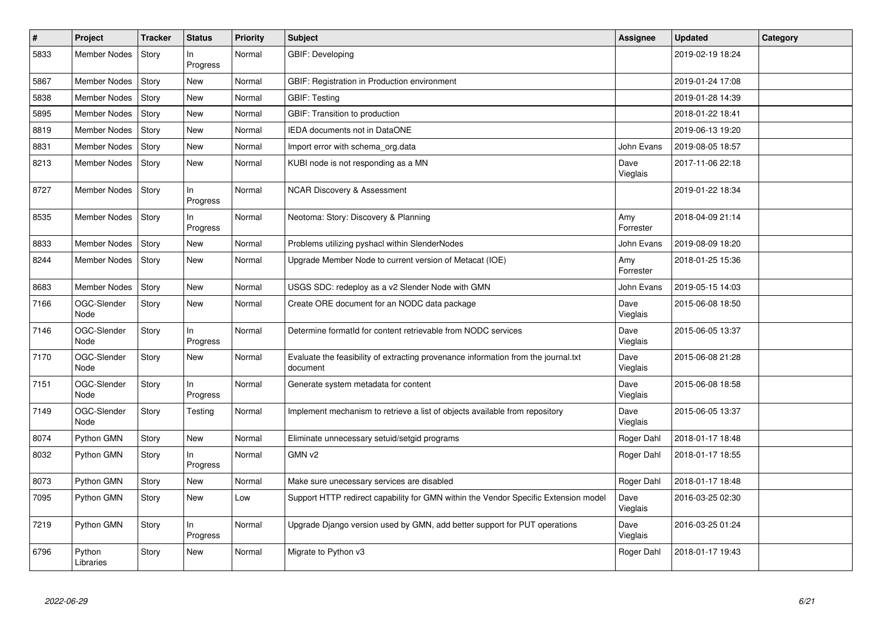| #    | Project             | <b>Tracker</b> | <b>Status</b>   | <b>Priority</b> | <b>Subject</b>                                                                                 | Assignee         | <b>Updated</b>   | Category |
|------|---------------------|----------------|-----------------|-----------------|------------------------------------------------------------------------------------------------|------------------|------------------|----------|
| 5833 | Member Nodes        | Story          | ln.<br>Progress | Normal          | GBIF: Developing                                                                               |                  | 2019-02-19 18:24 |          |
| 5867 | Member Nodes        | Story          | New             | Normal          | GBIF: Registration in Production environment                                                   |                  | 2019-01-24 17:08 |          |
| 5838 | <b>Member Nodes</b> | Story          | New             | Normal          | <b>GBIF: Testing</b>                                                                           |                  | 2019-01-28 14:39 |          |
| 5895 | Member Nodes        | Story          | New             | Normal          | GBIF: Transition to production                                                                 |                  | 2018-01-22 18:41 |          |
| 8819 | <b>Member Nodes</b> | Story          | New             | Normal          | IEDA documents not in DataONE                                                                  |                  | 2019-06-13 19:20 |          |
| 8831 | <b>Member Nodes</b> | Story          | New             | Normal          | Import error with schema_org.data                                                              | John Evans       | 2019-08-05 18:57 |          |
| 8213 | <b>Member Nodes</b> | Story          | New             | Normal          | KUBI node is not responding as a MN                                                            | Dave<br>Vieglais | 2017-11-06 22:18 |          |
| 8727 | <b>Member Nodes</b> | Story          | ln.<br>Progress | Normal          | <b>NCAR Discovery &amp; Assessment</b>                                                         |                  | 2019-01-22 18:34 |          |
| 8535 | Member Nodes        | Story          | ln.<br>Progress | Normal          | Neotoma: Story: Discovery & Planning                                                           | Amy<br>Forrester | 2018-04-09 21:14 |          |
| 8833 | <b>Member Nodes</b> | Story          | New             | Normal          | Problems utilizing pyshacl within SlenderNodes                                                 | John Evans       | 2019-08-09 18:20 |          |
| 8244 | Member Nodes        | Story          | New             | Normal          | Upgrade Member Node to current version of Metacat (IOE)                                        | Amy<br>Forrester | 2018-01-25 15:36 |          |
| 8683 | <b>Member Nodes</b> | Story          | New             | Normal          | USGS SDC: redeploy as a v2 Slender Node with GMN                                               | John Evans       | 2019-05-15 14:03 |          |
| 7166 | OGC-Slender<br>Node | Story          | New             | Normal          | Create ORE document for an NODC data package                                                   | Dave<br>Vieglais | 2015-06-08 18:50 |          |
| 7146 | OGC-Slender<br>Node | Story          | In<br>Progress  | Normal          | Determine formatId for content retrievable from NODC services                                  | Dave<br>Vieglais | 2015-06-05 13:37 |          |
| 7170 | OGC-Slender<br>Node | Story          | New             | Normal          | Evaluate the feasibility of extracting provenance information from the journal.txt<br>document | Dave<br>Vieglais | 2015-06-08 21:28 |          |
| 7151 | OGC-Slender<br>Node | Story          | In.<br>Progress | Normal          | Generate system metadata for content                                                           | Dave<br>Vieglais | 2015-06-08 18:58 |          |
| 7149 | OGC-Slender<br>Node | Story          | Testing         | Normal          | Implement mechanism to retrieve a list of objects available from repository                    | Dave<br>Vieglais | 2015-06-05 13:37 |          |
| 8074 | Python GMN          | Story          | <b>New</b>      | Normal          | Eliminate unnecessary setuid/setgid programs                                                   | Roger Dahl       | 2018-01-17 18:48 |          |
| 8032 | Python GMN          | Story          | In<br>Progress  | Normal          | GMN v2                                                                                         | Roger Dahl       | 2018-01-17 18:55 |          |
| 8073 | Python GMN          | Story          | New             | Normal          | Make sure unecessary services are disabled                                                     | Roger Dahl       | 2018-01-17 18:48 |          |
| 7095 | Python GMN          | Story          | <b>New</b>      | Low             | Support HTTP redirect capability for GMN within the Vendor Specific Extension model            | Dave<br>Vieglais | 2016-03-25 02:30 |          |
| 7219 | Python GMN          | Story          | In<br>Progress  | Normal          | Upgrade Django version used by GMN, add better support for PUT operations                      | Dave<br>Vieglais | 2016-03-25 01:24 |          |
| 6796 | Python<br>Libraries | Story          | New             | Normal          | Migrate to Python v3                                                                           | Roger Dahl       | 2018-01-17 19:43 |          |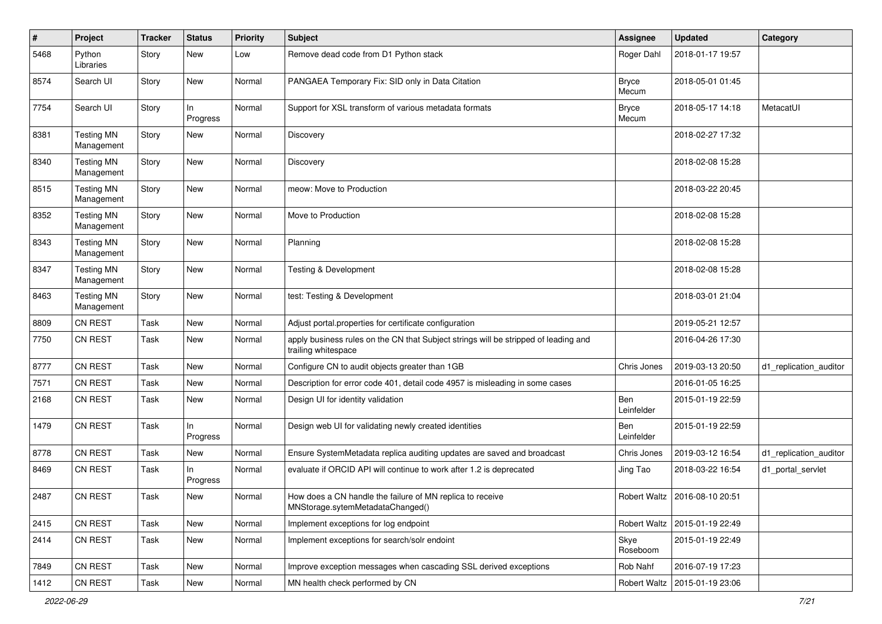| $\pmb{\#}$ | Project                         | <b>Tracker</b> | <b>Status</b>   | <b>Priority</b> | Subject                                                                                                    | <b>Assignee</b>       | <b>Updated</b>                  | Category               |
|------------|---------------------------------|----------------|-----------------|-----------------|------------------------------------------------------------------------------------------------------------|-----------------------|---------------------------------|------------------------|
| 5468       | Python<br>Libraries             | Story          | New             | Low             | Remove dead code from D1 Python stack                                                                      | Roger Dahl            | 2018-01-17 19:57                |                        |
| 8574       | Search UI                       | Story          | <b>New</b>      | Normal          | PANGAEA Temporary Fix: SID only in Data Citation                                                           | <b>Bryce</b><br>Mecum | 2018-05-01 01:45                |                        |
| 7754       | Search UI                       | Story          | ln.<br>Progress | Normal          | Support for XSL transform of various metadata formats                                                      | <b>Bryce</b><br>Mecum | 2018-05-17 14:18                | MetacatUI              |
| 8381       | <b>Testing MN</b><br>Management | Story          | <b>New</b>      | Normal          | Discovery                                                                                                  |                       | 2018-02-27 17:32                |                        |
| 8340       | <b>Testing MN</b><br>Management | Story          | New             | Normal          | Discovery                                                                                                  |                       | 2018-02-08 15:28                |                        |
| 8515       | <b>Testing MN</b><br>Management | Story          | New             | Normal          | meow: Move to Production                                                                                   |                       | 2018-03-22 20:45                |                        |
| 8352       | <b>Testing MN</b><br>Management | Story          | <b>New</b>      | Normal          | Move to Production                                                                                         |                       | 2018-02-08 15:28                |                        |
| 8343       | <b>Testing MN</b><br>Management | Story          | New             | Normal          | Planning                                                                                                   |                       | 2018-02-08 15:28                |                        |
| 8347       | <b>Testing MN</b><br>Management | Story          | <b>New</b>      | Normal          | <b>Testing &amp; Development</b>                                                                           |                       | 2018-02-08 15:28                |                        |
| 8463       | <b>Testing MN</b><br>Management | Story          | New             | Normal          | test: Testing & Development                                                                                |                       | 2018-03-01 21:04                |                        |
| 8809       | CN REST                         | Task           | <b>New</b>      | Normal          | Adjust portal properties for certificate configuration                                                     |                       | 2019-05-21 12:57                |                        |
| 7750       | <b>CN REST</b>                  | Task           | New             | Normal          | apply business rules on the CN that Subject strings will be stripped of leading and<br>trailing whitespace |                       | 2016-04-26 17:30                |                        |
| 8777       | CN REST                         | Task           | <b>New</b>      | Normal          | Configure CN to audit objects greater than 1GB                                                             | Chris Jones           | 2019-03-13 20:50                | d1 replication auditor |
| 7571       | <b>CN REST</b>                  | Task           | New             | Normal          | Description for error code 401, detail code 4957 is misleading in some cases                               |                       | 2016-01-05 16:25                |                        |
| 2168       | <b>CN REST</b>                  | Task           | New             | Normal          | Design UI for identity validation                                                                          | Ben<br>Leinfelder     | 2015-01-19 22:59                |                        |
| 1479       | CN REST                         | Task           | ln.<br>Progress | Normal          | Design web UI for validating newly created identities                                                      | Ben<br>Leinfelder     | 2015-01-19 22:59                |                        |
| 8778       | CN REST                         | Task           | <b>New</b>      | Normal          | Ensure SystemMetadata replica auditing updates are saved and broadcast                                     | Chris Jones           | 2019-03-12 16:54                | d1_replication_auditor |
| 8469       | <b>CN REST</b>                  | Task           | ln.<br>Progress | Normal          | evaluate if ORCID API will continue to work after 1.2 is deprecated                                        | Jing Tao              | 2018-03-22 16:54                | d1_portal_servlet      |
| 2487       | <b>CN REST</b>                  | Task           | New             | Normal          | How does a CN handle the failure of MN replica to receive<br>MNStorage.sytemMetadataChanged()              |                       | Robert Waltz   2016-08-10 20:51 |                        |
| 2415       | CN REST                         | Task           | New             | Normal          | Implement exceptions for log endpoint                                                                      | <b>Robert Waltz</b>   | 2015-01-19 22:49                |                        |
| 2414       | CN REST                         | Task           | New             | Normal          | Implement exceptions for search/solr endoint                                                               | Skye<br>Roseboom      | 2015-01-19 22:49                |                        |
| 7849       | CN REST                         | Task           | New             | Normal          | Improve exception messages when cascading SSL derived exceptions                                           | Rob Nahf              | 2016-07-19 17:23                |                        |
| 1412       | CN REST                         | Task           | New             | Normal          | MN health check performed by CN                                                                            | Robert Waltz          | 2015-01-19 23:06                |                        |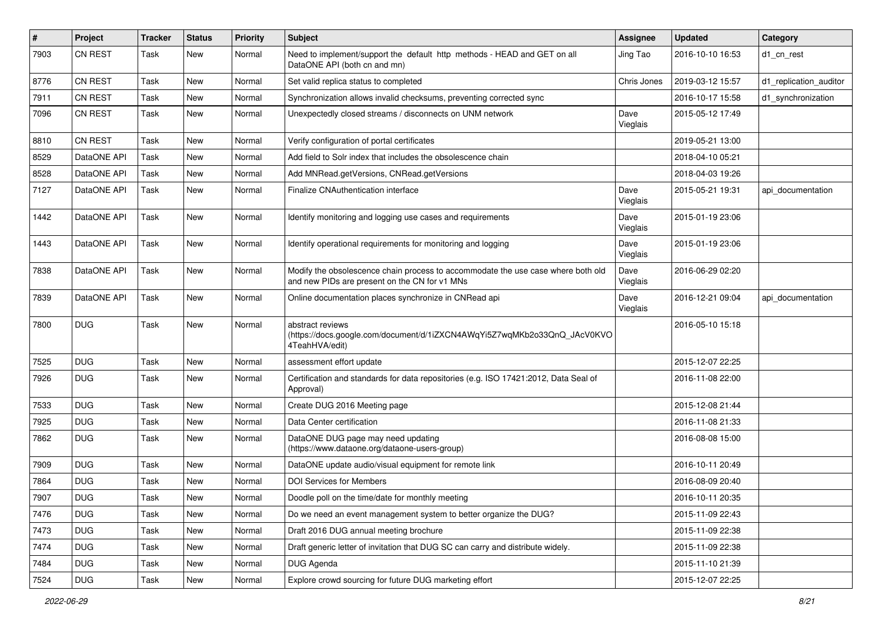| #    | Project        | <b>Tracker</b> | <b>Status</b> | <b>Priority</b> | <b>Subject</b>                                                                                                                    | <b>Assignee</b>  | <b>Updated</b>   | Category               |
|------|----------------|----------------|---------------|-----------------|-----------------------------------------------------------------------------------------------------------------------------------|------------------|------------------|------------------------|
| 7903 | <b>CN REST</b> | Task           | New           | Normal          | Need to implement/support the default http methods - HEAD and GET on all<br>DataONE API (both cn and mn)                          | Jing Tao         | 2016-10-10 16:53 | d1 cn rest             |
| 8776 | <b>CN REST</b> | Task           | <b>New</b>    | Normal          | Set valid replica status to completed                                                                                             | Chris Jones      | 2019-03-12 15:57 | d1 replication auditor |
| 7911 | <b>CN REST</b> | Task           | <b>New</b>    | Normal          | Synchronization allows invalid checksums, preventing corrected sync                                                               |                  | 2016-10-17 15:58 | d1 synchronization     |
| 7096 | <b>CN REST</b> | Task           | New           | Normal          | Unexpectedly closed streams / disconnects on UNM network                                                                          | Dave<br>Vieglais | 2015-05-12 17:49 |                        |
| 8810 | <b>CN REST</b> | Task           | <b>New</b>    | Normal          | Verify configuration of portal certificates                                                                                       |                  | 2019-05-21 13:00 |                        |
| 8529 | DataONE API    | Task           | <b>New</b>    | Normal          | Add field to Solr index that includes the obsolescence chain                                                                      |                  | 2018-04-10 05:21 |                        |
| 8528 | DataONE API    | Task           | New           | Normal          | Add MNRead.getVersions, CNRead.getVersions                                                                                        |                  | 2018-04-03 19:26 |                        |
| 7127 | DataONE API    | Task           | <b>New</b>    | Normal          | Finalize CNAuthentication interface                                                                                               | Dave<br>Vieglais | 2015-05-21 19:31 | api documentation      |
| 1442 | DataONE API    | Task           | New           | Normal          | Identify monitoring and logging use cases and requirements                                                                        | Dave<br>Vieglais | 2015-01-19 23:06 |                        |
| 1443 | DataONE API    | Task           | New           | Normal          | Identify operational requirements for monitoring and logging                                                                      | Dave<br>Vieglais | 2015-01-19 23:06 |                        |
| 7838 | DataONE API    | Task           | <b>New</b>    | Normal          | Modify the obsolescence chain process to accommodate the use case where both old<br>and new PIDs are present on the CN for v1 MNs | Dave<br>Vieglais | 2016-06-29 02:20 |                        |
| 7839 | DataONE API    | Task           | <b>New</b>    | Normal          | Online documentation places synchronize in CNRead api                                                                             | Dave<br>Vieglais | 2016-12-21 09:04 | api documentation      |
| 7800 | <b>DUG</b>     | Task           | <b>New</b>    | Normal          | abstract reviews<br>(https://docs.google.com/document/d/1iZXCN4AWqYi5Z7wqMKb2o33QnQ_JAcV0KVO<br>4TeahHVA/edit)                    |                  | 2016-05-10 15:18 |                        |
| 7525 | <b>DUG</b>     | Task           | <b>New</b>    | Normal          | assessment effort update                                                                                                          |                  | 2015-12-07 22:25 |                        |
| 7926 | <b>DUG</b>     | Task           | New           | Normal          | Certification and standards for data repositories (e.g. ISO 17421:2012, Data Seal of<br>Approval)                                 |                  | 2016-11-08 22:00 |                        |
| 7533 | <b>DUG</b>     | Task           | New           | Normal          | Create DUG 2016 Meeting page                                                                                                      |                  | 2015-12-08 21:44 |                        |
| 7925 | <b>DUG</b>     | Task           | <b>New</b>    | Normal          | Data Center certification                                                                                                         |                  | 2016-11-08 21:33 |                        |
| 7862 | <b>DUG</b>     | Task           | New           | Normal          | DataONE DUG page may need updating<br>(https://www.dataone.org/dataone-users-group)                                               |                  | 2016-08-08 15:00 |                        |
| 7909 | <b>DUG</b>     | Task           | <b>New</b>    | Normal          | DataONE update audio/visual equipment for remote link                                                                             |                  | 2016-10-11 20:49 |                        |
| 7864 | <b>DUG</b>     | Task           | <b>New</b>    | Normal          | <b>DOI Services for Members</b>                                                                                                   |                  | 2016-08-09 20:40 |                        |
| 7907 | <b>DUG</b>     | Task           | New           | Normal          | Doodle poll on the time/date for monthly meeting                                                                                  |                  | 2016-10-11 20:35 |                        |
| 7476 | <b>DUG</b>     | Task           | New           | Normal          | Do we need an event management system to better organize the DUG?                                                                 |                  | 2015-11-09 22:43 |                        |
| 7473 | <b>DUG</b>     | Task           | New           | Normal          | Draft 2016 DUG annual meeting brochure                                                                                            |                  | 2015-11-09 22:38 |                        |
| 7474 | <b>DUG</b>     | Task           | New           | Normal          | Draft generic letter of invitation that DUG SC can carry and distribute widely.                                                   |                  | 2015-11-09 22:38 |                        |
| 7484 | <b>DUG</b>     | Task           | New           | Normal          | DUG Agenda                                                                                                                        |                  | 2015-11-10 21:39 |                        |
| 7524 | <b>DUG</b>     | Task           | New           | Normal          | Explore crowd sourcing for future DUG marketing effort                                                                            |                  | 2015-12-07 22:25 |                        |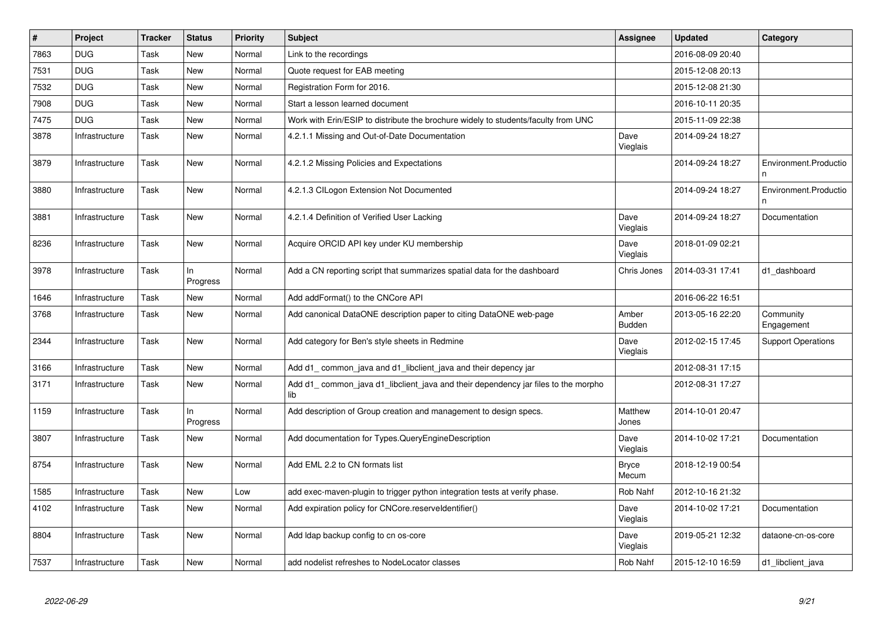| $\vert$ # | Project        | <b>Tracker</b> | <b>Status</b>   | Priority | <b>Subject</b>                                                                           | Assignee               | <b>Updated</b>   | Category                   |
|-----------|----------------|----------------|-----------------|----------|------------------------------------------------------------------------------------------|------------------------|------------------|----------------------------|
| 7863      | <b>DUG</b>     | Task           | <b>New</b>      | Normal   | Link to the recordings                                                                   |                        | 2016-08-09 20:40 |                            |
| 7531      | <b>DUG</b>     | Task           | New             | Normal   | Quote request for EAB meeting                                                            |                        | 2015-12-08 20:13 |                            |
| 7532      | <b>DUG</b>     | Task           | <b>New</b>      | Normal   | Registration Form for 2016.                                                              |                        | 2015-12-08 21:30 |                            |
| 7908      | DUG            | Task           | <b>New</b>      | Normal   | Start a lesson learned document                                                          |                        | 2016-10-11 20:35 |                            |
| 7475      | <b>DUG</b>     | Task           | New             | Normal   | Work with Erin/ESIP to distribute the brochure widely to students/faculty from UNC       |                        | 2015-11-09 22:38 |                            |
| 3878      | Infrastructure | Task           | <b>New</b>      | Normal   | 4.2.1.1 Missing and Out-of-Date Documentation                                            | Dave<br>Vieglais       | 2014-09-24 18:27 |                            |
| 3879      | Infrastructure | Task           | New             | Normal   | 4.2.1.2 Missing Policies and Expectations                                                |                        | 2014-09-24 18:27 | Environment.Productio<br>n |
| 3880      | Infrastructure | Task           | New             | Normal   | 4.2.1.3 CILogon Extension Not Documented                                                 |                        | 2014-09-24 18:27 | Environment.Productio      |
| 3881      | Infrastructure | Task           | <b>New</b>      | Normal   | 4.2.1.4 Definition of Verified User Lacking                                              | Dave<br>Vieglais       | 2014-09-24 18:27 | Documentation              |
| 8236      | Infrastructure | Task           | <b>New</b>      | Normal   | Acquire ORCID API key under KU membership                                                | Dave<br>Vieglais       | 2018-01-09 02:21 |                            |
| 3978      | Infrastructure | Task           | In<br>Progress  | Normal   | Add a CN reporting script that summarizes spatial data for the dashboard                 | Chris Jones            | 2014-03-31 17:41 | d1_dashboard               |
| 1646      | Infrastructure | Task           | New             | Normal   | Add addFormat() to the CNCore API                                                        |                        | 2016-06-22 16:51 |                            |
| 3768      | Infrastructure | Task           | New             | Normal   | Add canonical DataONE description paper to citing DataONE web-page                       | Amber<br><b>Budden</b> | 2013-05-16 22:20 | Community<br>Engagement    |
| 2344      | Infrastructure | Task           | <b>New</b>      | Normal   | Add category for Ben's style sheets in Redmine                                           | Dave<br>Vieglais       | 2012-02-15 17:45 | <b>Support Operations</b>  |
| 3166      | Infrastructure | Task           | New             | Normal   | Add d1_common_java and d1_libclient_java and their depency jar                           |                        | 2012-08-31 17:15 |                            |
| 3171      | Infrastructure | Task           | <b>New</b>      | Normal   | Add d1_common_java d1_libclient_java and their dependency jar files to the morpho<br>lib |                        | 2012-08-31 17:27 |                            |
| 1159      | Infrastructure | Task           | In.<br>Progress | Normal   | Add description of Group creation and management to design specs.                        | Matthew<br>Jones       | 2014-10-01 20:47 |                            |
| 3807      | Infrastructure | Task           | <b>New</b>      | Normal   | Add documentation for Types.QueryEngineDescription                                       | Dave<br>Vieglais       | 2014-10-02 17:21 | Documentation              |
| 8754      | Infrastructure | Task           | <b>New</b>      | Normal   | Add EML 2.2 to CN formats list                                                           | <b>Bryce</b><br>Mecum  | 2018-12-19 00:54 |                            |
| 1585      | Infrastructure | Task           | <b>New</b>      | Low      | add exec-maven-plugin to trigger python integration tests at verify phase.               | Rob Nahf               | 2012-10-16 21:32 |                            |
| 4102      | Infrastructure | Task           | New             | Normal   | Add expiration policy for CNCore.reserveldentifier()                                     | Dave<br>Vieglais       | 2014-10-02 17:21 | Documentation              |
| 8804      | Infrastructure | Task           | New             | Normal   | Add Idap backup config to cn os-core                                                     | Dave<br>Vieglais       | 2019-05-21 12:32 | dataone-cn-os-core         |
| 7537      | Infrastructure | Task           | <b>New</b>      | Normal   | add nodelist refreshes to NodeLocator classes                                            | Rob Nahf               | 2015-12-10 16:59 | d1 libclient java          |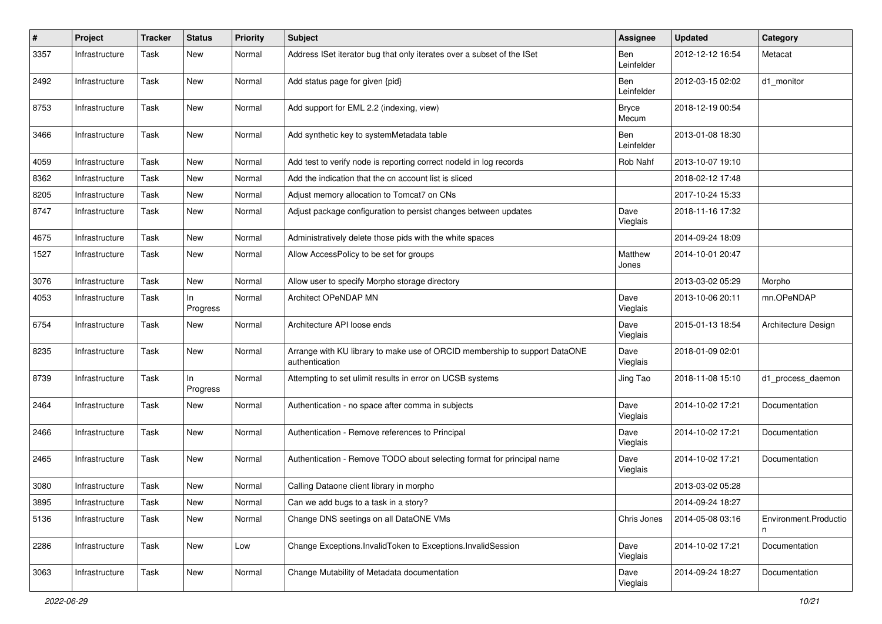| #    | Project        | <b>Tracker</b> | <b>Status</b>   | <b>Priority</b> | Subject                                                                                      | Assignee                 | <b>Updated</b>   | Category                   |
|------|----------------|----------------|-----------------|-----------------|----------------------------------------------------------------------------------------------|--------------------------|------------------|----------------------------|
| 3357 | Infrastructure | Task           | New             | Normal          | Address ISet iterator bug that only iterates over a subset of the ISet                       | <b>Ben</b><br>Leinfelder | 2012-12-12 16:54 | Metacat                    |
| 2492 | Infrastructure | Task           | New             | Normal          | Add status page for given {pid}                                                              | Ben<br>Leinfelder        | 2012-03-15 02:02 | d1_monitor                 |
| 8753 | Infrastructure | Task           | <b>New</b>      | Normal          | Add support for EML 2.2 (indexing, view)                                                     | <b>Bryce</b><br>Mecum    | 2018-12-19 00:54 |                            |
| 3466 | Infrastructure | Task           | New             | Normal          | Add synthetic key to systemMetadata table                                                    | <b>Ben</b><br>Leinfelder | 2013-01-08 18:30 |                            |
| 4059 | Infrastructure | Task           | <b>New</b>      | Normal          | Add test to verify node is reporting correct nodeld in log records                           | Rob Nahf                 | 2013-10-07 19:10 |                            |
| 8362 | Infrastructure | Task           | <b>New</b>      | Normal          | Add the indication that the cn account list is sliced                                        |                          | 2018-02-12 17:48 |                            |
| 8205 | Infrastructure | Task           | New             | Normal          | Adjust memory allocation to Tomcat7 on CNs                                                   |                          | 2017-10-24 15:33 |                            |
| 8747 | Infrastructure | Task           | New             | Normal          | Adjust package configuration to persist changes between updates                              | Dave<br>Vieglais         | 2018-11-16 17:32 |                            |
| 4675 | Infrastructure | Task           | New             | Normal          | Administratively delete those pids with the white spaces                                     |                          | 2014-09-24 18:09 |                            |
| 1527 | Infrastructure | Task           | New             | Normal          | Allow AccessPolicy to be set for groups                                                      | Matthew<br>Jones         | 2014-10-01 20:47 |                            |
| 3076 | Infrastructure | Task           | New             | Normal          | Allow user to specify Morpho storage directory                                               |                          | 2013-03-02 05:29 | Morpho                     |
| 4053 | Infrastructure | Task           | In.<br>Progress | Normal          | Architect OPeNDAP MN                                                                         | Dave<br>Vieglais         | 2013-10-06 20:11 | mn.OPeNDAP                 |
| 6754 | Infrastructure | Task           | New             | Normal          | Architecture API loose ends                                                                  | Dave<br>Vieglais         | 2015-01-13 18:54 | Architecture Design        |
| 8235 | Infrastructure | Task           | <b>New</b>      | Normal          | Arrange with KU library to make use of ORCID membership to support DataONE<br>authentication | Dave<br>Vieglais         | 2018-01-09 02:01 |                            |
| 8739 | Infrastructure | Task           | In<br>Progress  | Normal          | Attempting to set ulimit results in error on UCSB systems                                    | Jing Tao                 | 2018-11-08 15:10 | d1_process_daemon          |
| 2464 | Infrastructure | Task           | New             | Normal          | Authentication - no space after comma in subjects                                            | Dave<br>Vieglais         | 2014-10-02 17:21 | Documentation              |
| 2466 | Infrastructure | Task           | <b>New</b>      | Normal          | Authentication - Remove references to Principal                                              | Dave<br>Vieglais         | 2014-10-02 17:21 | Documentation              |
| 2465 | Infrastructure | Task           | <b>New</b>      | Normal          | Authentication - Remove TODO about selecting format for principal name                       | Dave<br>Vieglais         | 2014-10-02 17:21 | Documentation              |
| 3080 | Infrastructure | Task           | <b>New</b>      | Normal          | Calling Dataone client library in morpho                                                     |                          | 2013-03-02 05:28 |                            |
| 3895 | Infrastructure | Task           | New             | Normal          | Can we add bugs to a task in a story?                                                        |                          | 2014-09-24 18:27 |                            |
| 5136 | Infrastructure | Task           | New             | Normal          | Change DNS seetings on all DataONE VMs                                                       | Chris Jones              | 2014-05-08 03:16 | Environment.Productio<br>n |
| 2286 | Infrastructure | Task           | <b>New</b>      | Low             | Change Exceptions.InvalidToken to Exceptions.InvalidSession                                  | Dave<br>Vieglais         | 2014-10-02 17:21 | Documentation              |
| 3063 | Infrastructure | Task           | New             | Normal          | Change Mutability of Metadata documentation                                                  | Dave<br>Vieglais         | 2014-09-24 18:27 | Documentation              |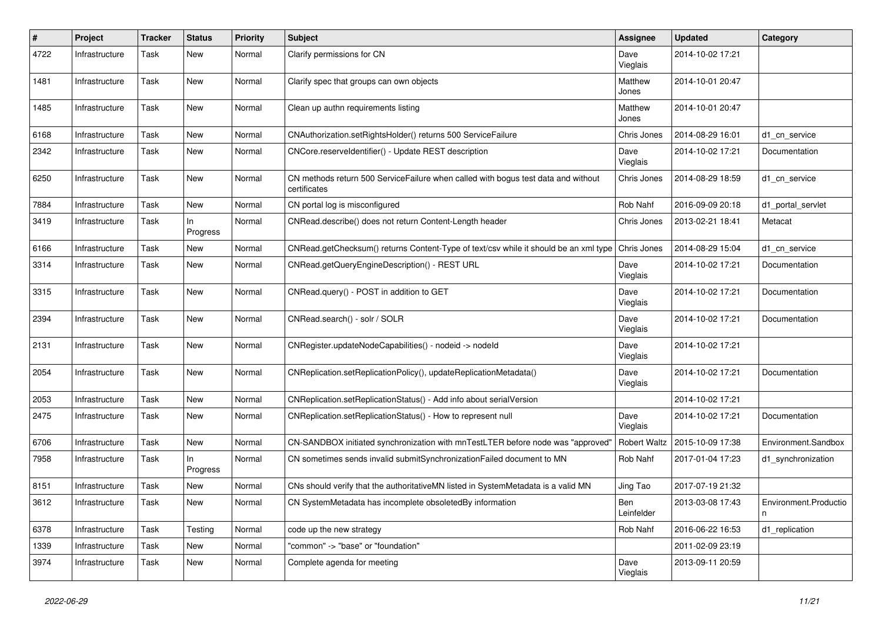| #    | Project        | <b>Tracker</b> | <b>Status</b>   | <b>Priority</b> | <b>Subject</b>                                                                                    | <b>Assignee</b>          | <b>Updated</b>   | Category                   |
|------|----------------|----------------|-----------------|-----------------|---------------------------------------------------------------------------------------------------|--------------------------|------------------|----------------------------|
| 4722 | Infrastructure | Task           | New             | Normal          | Clarify permissions for CN                                                                        | Dave<br>Vieglais         | 2014-10-02 17:21 |                            |
| 1481 | Infrastructure | Task           | New             | Normal          | Clarify spec that groups can own objects                                                          | Matthew<br>Jones         | 2014-10-01 20:47 |                            |
| 1485 | Infrastructure | Task           | <b>New</b>      | Normal          | Clean up authn requirements listing                                                               | Matthew<br>Jones         | 2014-10-01 20:47 |                            |
| 6168 | Infrastructure | Task           | <b>New</b>      | Normal          | CNAuthorization.setRightsHolder() returns 500 ServiceFailure                                      | Chris Jones              | 2014-08-29 16:01 | d1 cn service              |
| 2342 | Infrastructure | Task           | New             | Normal          | CNCore.reserveldentifier() - Update REST description                                              | Dave<br>Vieglais         | 2014-10-02 17:21 | Documentation              |
| 6250 | Infrastructure | Task           | New             | Normal          | CN methods return 500 ServiceFailure when called with bogus test data and without<br>certificates | Chris Jones              | 2014-08-29 18:59 | d1_cn_service              |
| 7884 | Infrastructure | Task           | New             | Normal          | CN portal log is misconfigured                                                                    | Rob Nahf                 | 2016-09-09 20:18 | d1 portal servlet          |
| 3419 | Infrastructure | Task           | ln.<br>Progress | Normal          | CNRead.describe() does not return Content-Length header                                           | Chris Jones              | 2013-02-21 18:41 | Metacat                    |
| 6166 | Infrastructure | Task           | <b>New</b>      | Normal          | CNRead.getChecksum() returns Content-Type of text/csv while it should be an xml type              | Chris Jones              | 2014-08-29 15:04 | d1 cn service              |
| 3314 | Infrastructure | Task           | <b>New</b>      | Normal          | CNRead.getQueryEngineDescription() - REST URL                                                     | Dave<br>Vieglais         | 2014-10-02 17:21 | Documentation              |
| 3315 | Infrastructure | Task           | <b>New</b>      | Normal          | CNRead.query() - POST in addition to GET                                                          | Dave<br>Vieglais         | 2014-10-02 17:21 | Documentation              |
| 2394 | Infrastructure | Task           | New             | Normal          | CNRead.search() - solr / SOLR                                                                     | Dave<br>Vieglais         | 2014-10-02 17:21 | Documentation              |
| 2131 | Infrastructure | Task           | New             | Normal          | CNRegister.updateNodeCapabilities() - nodeid -> nodeld                                            | Dave<br>Vieglais         | 2014-10-02 17:21 |                            |
| 2054 | Infrastructure | Task           | New             | Normal          | CNReplication.setReplicationPolicy(), updateReplicationMetadata()                                 | Dave<br>Vieglais         | 2014-10-02 17:21 | Documentation              |
| 2053 | Infrastructure | Task           | New             | Normal          | CNReplication.setReplicationStatus() - Add info about serialVersion                               |                          | 2014-10-02 17:21 |                            |
| 2475 | Infrastructure | Task           | New             | Normal          | CNReplication.setReplicationStatus() - How to represent null                                      | Dave<br>Vieglais         | 2014-10-02 17:21 | Documentation              |
| 6706 | Infrastructure | Task           | <b>New</b>      | Normal          | CN-SANDBOX initiated synchronization with mnTestLTER before node was "approved"                   | Robert Waltz             | 2015-10-09 17:38 | Environment.Sandbox        |
| 7958 | Infrastructure | Task           | ln.<br>Progress | Normal          | CN sometimes sends invalid submitSynchronizationFailed document to MN                             | Rob Nahf                 | 2017-01-04 17:23 | d1_synchronization         |
| 8151 | Infrastructure | Task           | <b>New</b>      | Normal          | CNs should verify that the authoritativeMN listed in SystemMetadata is a valid MN                 | Jing Tao                 | 2017-07-19 21:32 |                            |
| 3612 | Infrastructure | Task           | <b>New</b>      | Normal          | CN SystemMetadata has incomplete obsoletedBy information                                          | <b>Ben</b><br>Leinfelder | 2013-03-08 17:43 | Environment.Productio<br>n |
| 6378 | Infrastructure | Task           | Testing         | Normal          | code up the new strategy                                                                          | Rob Nahf                 | 2016-06-22 16:53 | d1 replication             |
| 1339 | Infrastructure | Task           | New             | Normal          | "common" -> "base" or "foundation"                                                                |                          | 2011-02-09 23:19 |                            |
| 3974 | Infrastructure | Task           | New             | Normal          | Complete agenda for meeting                                                                       | Dave<br>Vieglais         | 2013-09-11 20:59 |                            |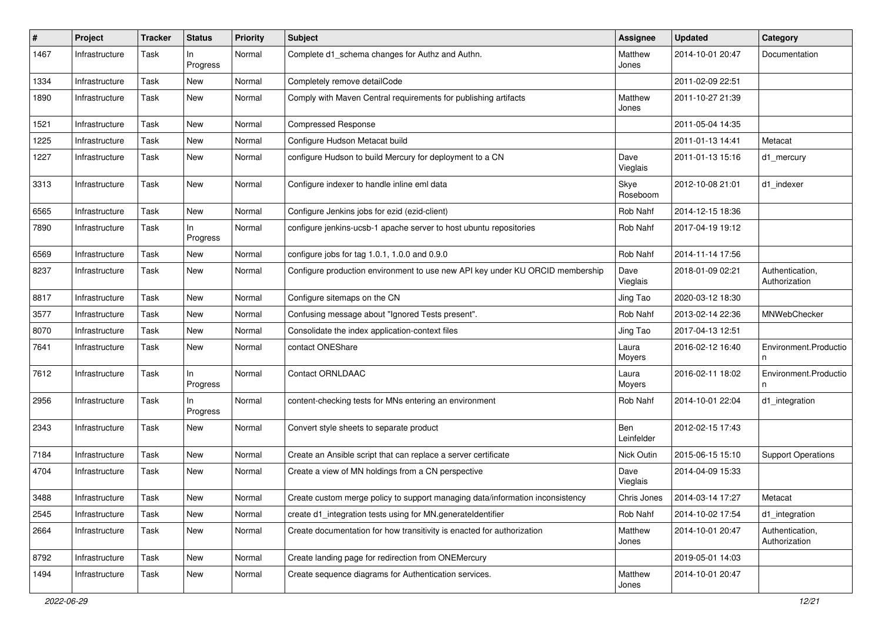| #    | Project        | <b>Tracker</b> | <b>Status</b>   | <b>Priority</b> | <b>Subject</b>                                                                | <b>Assignee</b>   | <b>Updated</b>   | Category                         |
|------|----------------|----------------|-----------------|-----------------|-------------------------------------------------------------------------------|-------------------|------------------|----------------------------------|
| 1467 | Infrastructure | Task           | In.<br>Progress | Normal          | Complete d1_schema changes for Authz and Authn.                               | Matthew<br>Jones  | 2014-10-01 20:47 | Documentation                    |
| 1334 | Infrastructure | Task           | New             | Normal          | Completely remove detailCode                                                  |                   | 2011-02-09 22:51 |                                  |
| 1890 | Infrastructure | Task           | New             | Normal          | Comply with Maven Central requirements for publishing artifacts               | Matthew<br>Jones  | 2011-10-27 21:39 |                                  |
| 1521 | Infrastructure | Task           | <b>New</b>      | Normal          | <b>Compressed Response</b>                                                    |                   | 2011-05-04 14:35 |                                  |
| 1225 | Infrastructure | Task           | <b>New</b>      | Normal          | Configure Hudson Metacat build                                                |                   | 2011-01-13 14:41 | Metacat                          |
| 1227 | Infrastructure | Task           | New             | Normal          | configure Hudson to build Mercury for deployment to a CN                      | Dave<br>Vieglais  | 2011-01-13 15:16 | d1_mercury                       |
| 3313 | Infrastructure | Task           | <b>New</b>      | Normal          | Configure indexer to handle inline eml data                                   | Skye<br>Roseboom  | 2012-10-08 21:01 | d1_indexer                       |
| 6565 | Infrastructure | Task           | <b>New</b>      | Normal          | Configure Jenkins jobs for ezid (ezid-client)                                 | Rob Nahf          | 2014-12-15 18:36 |                                  |
| 7890 | Infrastructure | Task           | In<br>Progress  | Normal          | configure jenkins-ucsb-1 apache server to host ubuntu repositories            | Rob Nahf          | 2017-04-19 19:12 |                                  |
| 6569 | Infrastructure | Task           | <b>New</b>      | Normal          | configure jobs for tag 1.0.1, 1.0.0 and 0.9.0                                 | Rob Nahf          | 2014-11-14 17:56 |                                  |
| 8237 | Infrastructure | Task           | New             | Normal          | Configure production environment to use new API key under KU ORCID membership | Dave<br>Vieglais  | 2018-01-09 02:21 | Authentication,<br>Authorization |
| 8817 | Infrastructure | Task           | <b>New</b>      | Normal          | Configure sitemaps on the CN                                                  | Jing Tao          | 2020-03-12 18:30 |                                  |
| 3577 | Infrastructure | Task           | New             | Normal          | Confusing message about "Ignored Tests present".                              | Rob Nahf          | 2013-02-14 22:36 | MNWebChecker                     |
| 8070 | Infrastructure | Task           | New             | Normal          | Consolidate the index application-context files                               | Jing Tao          | 2017-04-13 12:51 |                                  |
| 7641 | Infrastructure | Task           | <b>New</b>      | Normal          | contact ONEShare                                                              | Laura<br>Moyers   | 2016-02-12 16:40 | Environment.Productio<br>n       |
| 7612 | Infrastructure | Task           | In<br>Progress  | Normal          | Contact ORNLDAAC                                                              | Laura<br>Moyers   | 2016-02-11 18:02 | Environment.Productio            |
| 2956 | Infrastructure | Task           | In<br>Progress  | Normal          | content-checking tests for MNs entering an environment                        | Rob Nahf          | 2014-10-01 22:04 | d1_integration                   |
| 2343 | Infrastructure | Task           | <b>New</b>      | Normal          | Convert style sheets to separate product                                      | Ben<br>Leinfelder | 2012-02-15 17:43 |                                  |
| 7184 | Infrastructure | Task           | <b>New</b>      | Normal          | Create an Ansible script that can replace a server certificate                | <b>Nick Outin</b> | 2015-06-15 15:10 | <b>Support Operations</b>        |
| 4704 | Infrastructure | Task           | New             | Normal          | Create a view of MN holdings from a CN perspective                            | Dave<br>Vieglais  | 2014-04-09 15:33 |                                  |
| 3488 | Infrastructure | Task           | New             | Normal          | Create custom merge policy to support managing data/information inconsistency | Chris Jones       | 2014-03-14 17:27 | Metacat                          |
| 2545 | Infrastructure | Task           | New             | Normal          | create d1_integration tests using for MN.generateIdentifier                   | Rob Nahf          | 2014-10-02 17:54 | d1_integration                   |
| 2664 | Infrastructure | Task           | New             | Normal          | Create documentation for how transitivity is enacted for authorization        | Matthew<br>Jones  | 2014-10-01 20:47 | Authentication,<br>Authorization |
| 8792 | Infrastructure | Task           | <b>New</b>      | Normal          | Create landing page for redirection from ONEMercury                           |                   | 2019-05-01 14:03 |                                  |
| 1494 | Infrastructure | Task           | New             | Normal          | Create sequence diagrams for Authentication services.                         | Matthew<br>Jones  | 2014-10-01 20:47 |                                  |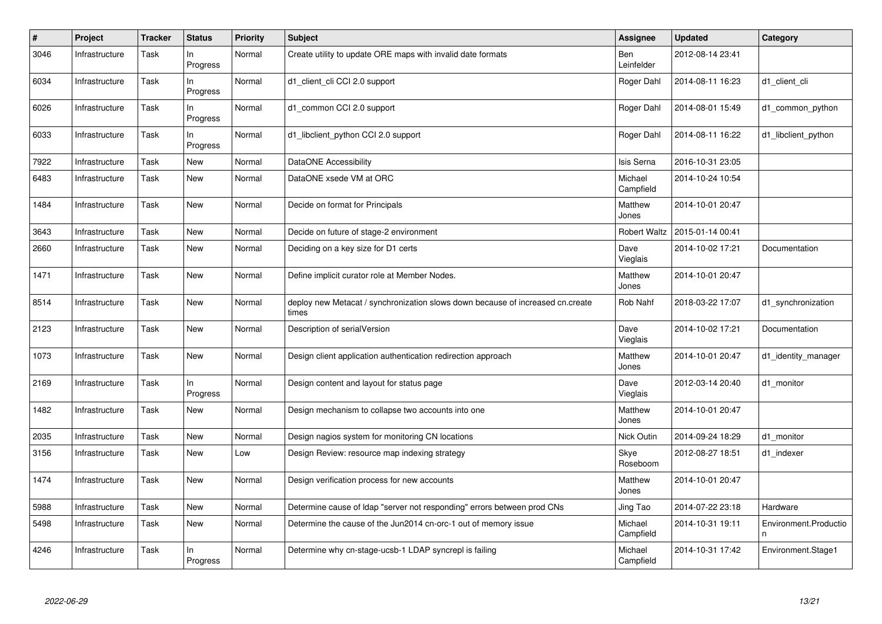| $\#$ | Project        | <b>Tracker</b> | <b>Status</b>   | <b>Priority</b> | <b>Subject</b>                                                                          | <b>Assignee</b>          | <b>Updated</b>   | Category                   |
|------|----------------|----------------|-----------------|-----------------|-----------------------------------------------------------------------------------------|--------------------------|------------------|----------------------------|
| 3046 | Infrastructure | Task           | In.<br>Progress | Normal          | Create utility to update ORE maps with invalid date formats                             | <b>Ben</b><br>Leinfelder | 2012-08-14 23:41 |                            |
| 6034 | Infrastructure | Task           | In<br>Progress  | Normal          | d1_client_cli CCI 2.0 support                                                           | Roger Dahl               | 2014-08-11 16:23 | d1_client_cli              |
| 6026 | Infrastructure | Task           | In<br>Progress  | Normal          | d1 common CCI 2.0 support                                                               | Roger Dahl               | 2014-08-01 15:49 | d1 common python           |
| 6033 | Infrastructure | Task           | In<br>Progress  | Normal          | d1_libclient_python CCI 2.0 support                                                     | Roger Dahl               | 2014-08-11 16:22 | d1_libclient_python        |
| 7922 | Infrastructure | Task           | <b>New</b>      | Normal          | DataONE Accessibility                                                                   | Isis Serna               | 2016-10-31 23:05 |                            |
| 6483 | Infrastructure | Task           | New             | Normal          | DataONE xsede VM at ORC                                                                 | Michael<br>Campfield     | 2014-10-24 10:54 |                            |
| 1484 | Infrastructure | Task           | New             | Normal          | Decide on format for Principals                                                         | Matthew<br>Jones         | 2014-10-01 20:47 |                            |
| 3643 | Infrastructure | Task           | <b>New</b>      | Normal          | Decide on future of stage-2 environment                                                 | <b>Robert Waltz</b>      | 2015-01-14 00:41 |                            |
| 2660 | Infrastructure | Task           | New             | Normal          | Deciding on a key size for D1 certs                                                     | Dave<br>Vieglais         | 2014-10-02 17:21 | Documentation              |
| 1471 | Infrastructure | Task           | New             | Normal          | Define implicit curator role at Member Nodes.                                           | Matthew<br>Jones         | 2014-10-01 20:47 |                            |
| 8514 | Infrastructure | Task           | New             | Normal          | deploy new Metacat / synchronization slows down because of increased cn.create<br>times | Rob Nahf                 | 2018-03-22 17:07 | d1 synchronization         |
| 2123 | Infrastructure | Task           | New             | Normal          | Description of serialVersion                                                            | Dave<br>Vieglais         | 2014-10-02 17:21 | Documentation              |
| 1073 | Infrastructure | Task           | New             | Normal          | Design client application authentication redirection approach                           | Matthew<br>Jones         | 2014-10-01 20:47 | d1_identity_manager        |
| 2169 | Infrastructure | Task           | In.<br>Progress | Normal          | Design content and layout for status page                                               | Dave<br>Vieglais         | 2012-03-14 20:40 | d1_monitor                 |
| 1482 | Infrastructure | Task           | New             | Normal          | Design mechanism to collapse two accounts into one                                      | Matthew<br>Jones         | 2014-10-01 20:47 |                            |
| 2035 | Infrastructure | Task           | New             | Normal          | Design nagios system for monitoring CN locations                                        | Nick Outin               | 2014-09-24 18:29 | d1_monitor                 |
| 3156 | Infrastructure | Task           | New             | Low             | Design Review: resource map indexing strategy                                           | Skye<br>Roseboom         | 2012-08-27 18:51 | d1 indexer                 |
| 1474 | Infrastructure | Task           | New             | Normal          | Design verification process for new accounts                                            | Matthew<br>Jones         | 2014-10-01 20:47 |                            |
| 5988 | Infrastructure | Task           | New             | Normal          | Determine cause of Idap "server not responding" errors between prod CNs                 | Jing Tao                 | 2014-07-22 23:18 | Hardware                   |
| 5498 | Infrastructure | Task           | New             | Normal          | Determine the cause of the Jun2014 cn-orc-1 out of memory issue                         | Michael<br>Campfield     | 2014-10-31 19:11 | Environment.Productio<br>n |
| 4246 | Infrastructure | Task           | In<br>Progress  | Normal          | Determine why cn-stage-ucsb-1 LDAP syncrepl is failing                                  | Michael<br>Campfield     | 2014-10-31 17:42 | Environment.Stage1         |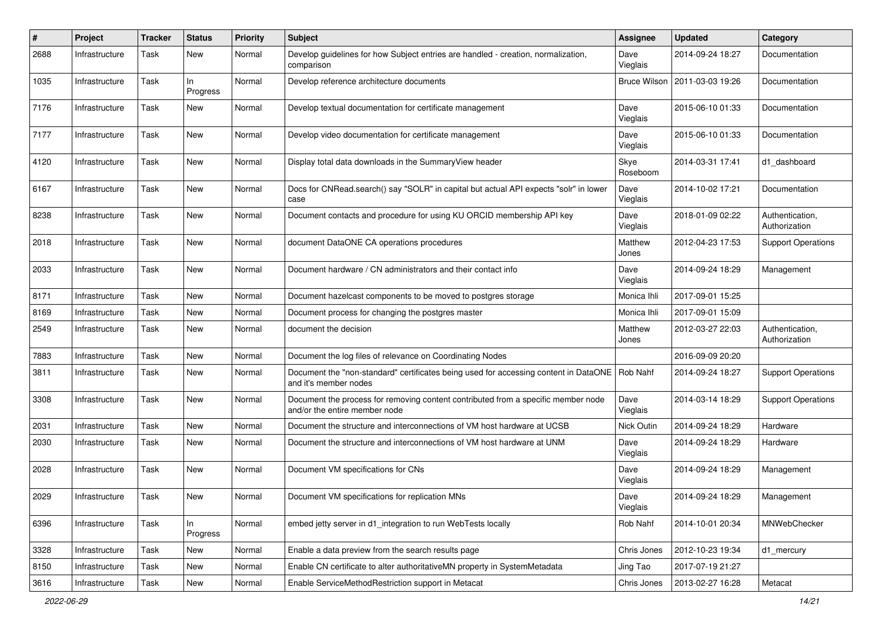| #    | Project        | <b>Tracker</b> | <b>Status</b>   | <b>Priority</b> | Subject                                                                                                            | <b>Assignee</b>     | <b>Updated</b>   | Category                         |
|------|----------------|----------------|-----------------|-----------------|--------------------------------------------------------------------------------------------------------------------|---------------------|------------------|----------------------------------|
| 2688 | Infrastructure | Task           | New             | Normal          | Develop guidelines for how Subject entries are handled - creation, normalization,<br>comparison                    | Dave<br>Vieglais    | 2014-09-24 18:27 | Documentation                    |
| 1035 | Infrastructure | Task           | ln.<br>Progress | Normal          | Develop reference architecture documents                                                                           | <b>Bruce Wilson</b> | 2011-03-03 19:26 | Documentation                    |
| 7176 | Infrastructure | Task           | <b>New</b>      | Normal          | Develop textual documentation for certificate management                                                           | Dave<br>Vieglais    | 2015-06-10 01:33 | Documentation                    |
| 7177 | Infrastructure | Task           | New             | Normal          | Develop video documentation for certificate management                                                             | Dave<br>Vieglais    | 2015-06-10 01:33 | Documentation                    |
| 4120 | Infrastructure | Task           | <b>New</b>      | Normal          | Display total data downloads in the SummaryView header                                                             | Skye<br>Roseboom    | 2014-03-31 17:41 | d1_dashboard                     |
| 6167 | Infrastructure | Task           | <b>New</b>      | Normal          | Docs for CNRead.search() say "SOLR" in capital but actual API expects "solr" in lower<br>case                      | Dave<br>Vieglais    | 2014-10-02 17:21 | Documentation                    |
| 8238 | Infrastructure | Task           | New             | Normal          | Document contacts and procedure for using KU ORCID membership API key                                              | Dave<br>Vieglais    | 2018-01-09 02:22 | Authentication,<br>Authorization |
| 2018 | Infrastructure | Task           | New             | Normal          | document DataONE CA operations procedures                                                                          | Matthew<br>Jones    | 2012-04-23 17:53 | <b>Support Operations</b>        |
| 2033 | Infrastructure | Task           | New             | Normal          | Document hardware / CN administrators and their contact info                                                       | Dave<br>Vieglais    | 2014-09-24 18:29 | Management                       |
| 8171 | Infrastructure | Task           | <b>New</b>      | Normal          | Document hazelcast components to be moved to postgres storage                                                      | Monica Ihli         | 2017-09-01 15:25 |                                  |
| 8169 | Infrastructure | Task           | New             | Normal          | Document process for changing the postgres master                                                                  | Monica Ihli         | 2017-09-01 15:09 |                                  |
| 2549 | Infrastructure | Task           | New             | Normal          | document the decision                                                                                              | Matthew<br>Jones    | 2012-03-27 22:03 | Authentication,<br>Authorization |
| 7883 | Infrastructure | Task           | New             | Normal          | Document the log files of relevance on Coordinating Nodes                                                          |                     | 2016-09-09 20:20 |                                  |
| 3811 | Infrastructure | Task           | New             | Normal          | Document the "non-standard" certificates being used for accessing content in DataONE<br>and it's member nodes      | Rob Nahf            | 2014-09-24 18:27 | <b>Support Operations</b>        |
| 3308 | Infrastructure | Task           | New             | Normal          | Document the process for removing content contributed from a specific member node<br>and/or the entire member node | Dave<br>Vieglais    | 2014-03-14 18:29 | <b>Support Operations</b>        |
| 2031 | Infrastructure | Task           | <b>New</b>      | Normal          | Document the structure and interconnections of VM host hardware at UCSB                                            | Nick Outin          | 2014-09-24 18:29 | Hardware                         |
| 2030 | Infrastructure | Task           | New             | Normal          | Document the structure and interconnections of VM host hardware at UNM                                             | Dave<br>Vieglais    | 2014-09-24 18:29 | Hardware                         |
| 2028 | Infrastructure | Task           | New             | Normal          | Document VM specifications for CNs                                                                                 | Dave<br>Vieglais    | 2014-09-24 18:29 | Management                       |
| 2029 | Infrastructure | Task           | New             | Normal          | Document VM specifications for replication MNs                                                                     | Dave<br>Vieglais    | 2014-09-24 18:29 | Management                       |
| 6396 | Infrastructure | Task           | In<br>Progress  | Normal          | embed jetty server in d1_integration to run WebTests locally                                                       | Rob Nahf            | 2014-10-01 20:34 | MNWebChecker                     |
| 3328 | Infrastructure | Task           | New             | Normal          | Enable a data preview from the search results page                                                                 | Chris Jones         | 2012-10-23 19:34 | d1 mercury                       |
| 8150 | Infrastructure | Task           | New             | Normal          | Enable CN certificate to alter authoritativeMN property in SystemMetadata                                          | Jing Tao            | 2017-07-19 21:27 |                                  |
| 3616 | Infrastructure | Task           | New             | Normal          | Enable ServiceMethodRestriction support in Metacat                                                                 | Chris Jones         | 2013-02-27 16:28 | Metacat                          |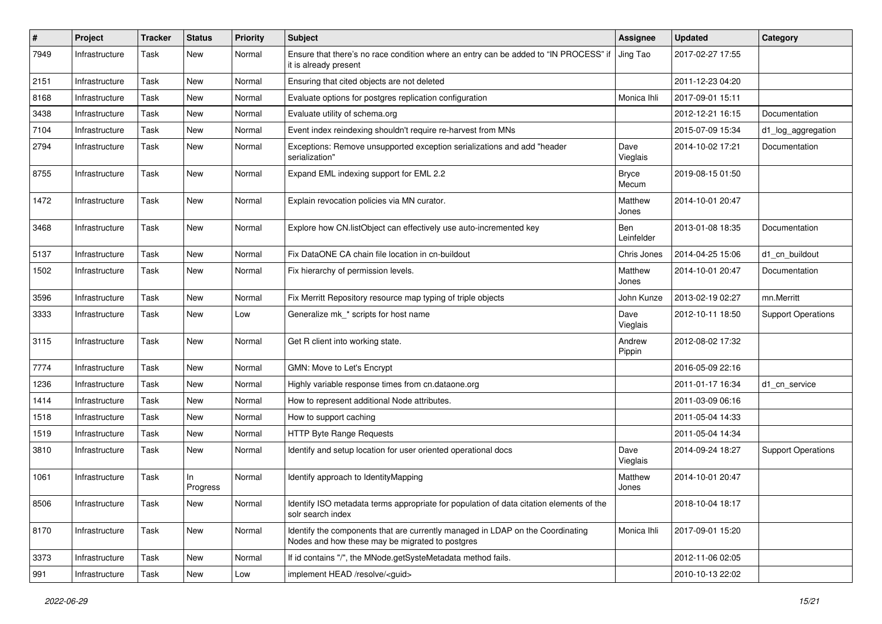| $\sharp$ | Project        | <b>Tracker</b> | <b>Status</b>   | <b>Priority</b> | Subject                                                                                                                           | <b>Assignee</b>          | <b>Updated</b>   | Category                  |
|----------|----------------|----------------|-----------------|-----------------|-----------------------------------------------------------------------------------------------------------------------------------|--------------------------|------------------|---------------------------|
| 7949     | Infrastructure | Task           | New             | Normal          | Ensure that there's no race condition where an entry can be added to "IN PROCESS" if<br>it is already present                     | Jing Tao                 | 2017-02-27 17:55 |                           |
| 2151     | Infrastructure | Task           | New             | Normal          | Ensuring that cited objects are not deleted                                                                                       |                          | 2011-12-23 04:20 |                           |
| 8168     | Infrastructure | Task           | New             | Normal          | Evaluate options for postgres replication configuration                                                                           | Monica Ihli              | 2017-09-01 15:11 |                           |
| 3438     | Infrastructure | Task           | New             | Normal          | Evaluate utility of schema.org                                                                                                    |                          | 2012-12-21 16:15 | Documentation             |
| 7104     | Infrastructure | Task           | New             | Normal          | Event index reindexing shouldn't require re-harvest from MNs                                                                      |                          | 2015-07-09 15:34 | d1_log_aggregation        |
| 2794     | Infrastructure | Task           | New             | Normal          | Exceptions: Remove unsupported exception serializations and add "header<br>serialization"                                         | Dave<br>Vieglais         | 2014-10-02 17:21 | Documentation             |
| 8755     | Infrastructure | Task           | <b>New</b>      | Normal          | Expand EML indexing support for EML 2.2                                                                                           | <b>Bryce</b><br>Mecum    | 2019-08-15 01:50 |                           |
| 1472     | Infrastructure | Task           | <b>New</b>      | Normal          | Explain revocation policies via MN curator.                                                                                       | Matthew<br>Jones         | 2014-10-01 20:47 |                           |
| 3468     | Infrastructure | Task           | New             | Normal          | Explore how CN.listObject can effectively use auto-incremented key                                                                | <b>Ben</b><br>Leinfelder | 2013-01-08 18:35 | Documentation             |
| 5137     | Infrastructure | Task           | <b>New</b>      | Normal          | Fix DataONE CA chain file location in cn-buildout                                                                                 | Chris Jones              | 2014-04-25 15:06 | d1_cn_buildout            |
| 1502     | Infrastructure | Task           | New             | Normal          | Fix hierarchy of permission levels.                                                                                               | Matthew<br>Jones         | 2014-10-01 20:47 | Documentation             |
| 3596     | Infrastructure | Task           | New             | Normal          | Fix Merritt Repository resource map typing of triple objects                                                                      | John Kunze               | 2013-02-19 02:27 | mn.Merritt                |
| 3333     | Infrastructure | Task           | New             | Low             | Generalize mk_* scripts for host name                                                                                             | Dave<br>Vieglais         | 2012-10-11 18:50 | <b>Support Operations</b> |
| 3115     | Infrastructure | Task           | New             | Normal          | Get R client into working state.                                                                                                  | Andrew<br>Pippin         | 2012-08-02 17:32 |                           |
| 7774     | Infrastructure | Task           | New             | Normal          | GMN: Move to Let's Encrypt                                                                                                        |                          | 2016-05-09 22:16 |                           |
| 1236     | Infrastructure | Task           | New             | Normal          | Highly variable response times from cn.dataone.org                                                                                |                          | 2011-01-17 16:34 | d1 cn service             |
| 1414     | Infrastructure | Task           | New             | Normal          | How to represent additional Node attributes.                                                                                      |                          | 2011-03-09 06:16 |                           |
| 1518     | Infrastructure | Task           | New             | Normal          | How to support caching                                                                                                            |                          | 2011-05-04 14:33 |                           |
| 1519     | Infrastructure | Task           | New             | Normal          | HTTP Byte Range Requests                                                                                                          |                          | 2011-05-04 14:34 |                           |
| 3810     | Infrastructure | Task           | New             | Normal          | Identify and setup location for user oriented operational docs                                                                    | Dave<br>Vieglais         | 2014-09-24 18:27 | <b>Support Operations</b> |
| 1061     | Infrastructure | Task           | In.<br>Progress | Normal          | Identify approach to IdentityMapping                                                                                              | Matthew<br>Jones         | 2014-10-01 20:47 |                           |
| 8506     | Infrastructure | Task           | New             | Normal          | Identify ISO metadata terms appropriate for population of data citation elements of the<br>solr search index                      |                          | 2018-10-04 18:17 |                           |
| 8170     | Infrastructure | Task           | <b>New</b>      | Normal          | Identify the components that are currently managed in LDAP on the Coordinating<br>Nodes and how these may be migrated to postgres | Monica Ihli              | 2017-09-01 15:20 |                           |
| 3373     | Infrastructure | Task           | New             | Normal          | If id contains "/", the MNode.getSysteMetadata method fails.                                                                      |                          | 2012-11-06 02:05 |                           |
| 991      | Infrastructure | Task           | New             | Low             | implement HEAD /resolve/ <guid></guid>                                                                                            |                          | 2010-10-13 22:02 |                           |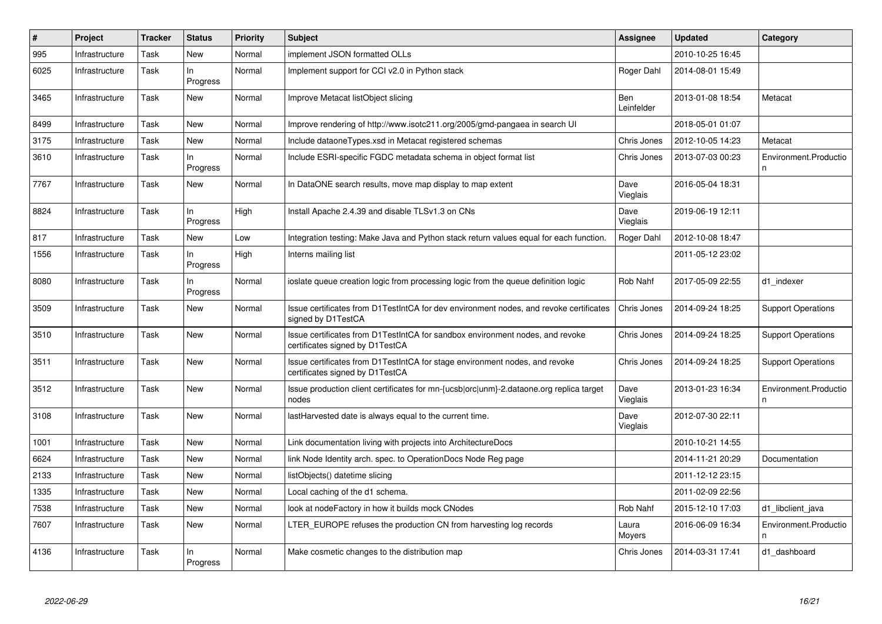| $\vert$ # | Project        | <b>Tracker</b> | <b>Status</b>   | <b>Priority</b> | <b>Subject</b>                                                                                                   | <b>Assignee</b>   | Updated          | Category                   |
|-----------|----------------|----------------|-----------------|-----------------|------------------------------------------------------------------------------------------------------------------|-------------------|------------------|----------------------------|
| 995       | Infrastructure | Task           | New             | Normal          | implement JSON formatted OLLs                                                                                    |                   | 2010-10-25 16:45 |                            |
| 6025      | Infrastructure | Task           | In<br>Progress  | Normal          | Implement support for CCI v2.0 in Python stack                                                                   | Roger Dahl        | 2014-08-01 15:49 |                            |
| 3465      | Infrastructure | Task           | New             | Normal          | Improve Metacat listObject slicing                                                                               | Ben<br>Leinfelder | 2013-01-08 18:54 | Metacat                    |
| 8499      | Infrastructure | Task           | New             | Normal          | Improve rendering of http://www.isotc211.org/2005/gmd-pangaea in search UI                                       |                   | 2018-05-01 01:07 |                            |
| 3175      | Infrastructure | Task           | New             | Normal          | Include dataoneTypes.xsd in Metacat registered schemas                                                           | Chris Jones       | 2012-10-05 14:23 | Metacat                    |
| 3610      | Infrastructure | Task           | ln.<br>Progress | Normal          | Include ESRI-specific FGDC metadata schema in object format list                                                 | Chris Jones       | 2013-07-03 00:23 | Environment.Productio<br>n |
| 7767      | Infrastructure | Task           | New             | Normal          | In DataONE search results, move map display to map extent                                                        | Dave<br>Vieglais  | 2016-05-04 18:31 |                            |
| 8824      | Infrastructure | Task           | ln.<br>Progress | High            | Install Apache 2.4.39 and disable TLSv1.3 on CNs                                                                 | Dave<br>Vieglais  | 2019-06-19 12:11 |                            |
| 817       | Infrastructure | Task           | New             | Low             | Integration testing: Make Java and Python stack return values equal for each function.                           | Roger Dahl        | 2012-10-08 18:47 |                            |
| 1556      | Infrastructure | Task           | ln.<br>Progress | High            | Interns mailing list                                                                                             |                   | 2011-05-12 23:02 |                            |
| 8080      | Infrastructure | Task           | In.<br>Progress | Normal          | ioslate queue creation logic from processing logic from the queue definition logic                               | Rob Nahf          | 2017-05-09 22:55 | d1_indexer                 |
| 3509      | Infrastructure | Task           | New             | Normal          | Issue certificates from D1TestIntCA for dev environment nodes, and revoke certificates<br>signed by D1TestCA     | Chris Jones       | 2014-09-24 18:25 | <b>Support Operations</b>  |
| 3510      | Infrastructure | Task           | New             | Normal          | Issue certificates from D1TestIntCA for sandbox environment nodes, and revoke<br>certificates signed by D1TestCA | Chris Jones       | 2014-09-24 18:25 | <b>Support Operations</b>  |
| 3511      | Infrastructure | Task           | New             | Normal          | Issue certificates from D1TestIntCA for stage environment nodes, and revoke<br>certificates signed by D1TestCA   | Chris Jones       | 2014-09-24 18:25 | <b>Support Operations</b>  |
| 3512      | Infrastructure | Task           | New             | Normal          | Issue production client certificates for mn-{ucsb orc unm}-2.dataone.org replica target<br>nodes                 | Dave<br>Vieglais  | 2013-01-23 16:34 | Environment.Productio<br>n |
| 3108      | Infrastructure | Task           | New             | Normal          | lastHarvested date is always equal to the current time.                                                          | Dave<br>Vieglais  | 2012-07-30 22:11 |                            |
| 1001      | Infrastructure | Task           | New             | Normal          | Link documentation living with projects into ArchitectureDocs                                                    |                   | 2010-10-21 14:55 |                            |
| 6624      | Infrastructure | Task           | New             | Normal          | link Node Identity arch. spec. to OperationDocs Node Reg page                                                    |                   | 2014-11-21 20:29 | Documentation              |
| 2133      | Infrastructure | Task           | New             | Normal          | listObjects() datetime slicing                                                                                   |                   | 2011-12-12 23:15 |                            |
| 1335      | Infrastructure | Task           | New             | Normal          | Local caching of the d1 schema.                                                                                  |                   | 2011-02-09 22:56 |                            |
| 7538      | Infrastructure | Task           | New             | Normal          | look at nodeFactory in how it builds mock CNodes                                                                 | Rob Nahf          | 2015-12-10 17:03 | d1_libclient_java          |
| 7607      | Infrastructure | Task           | New             | Normal          | LTER_EUROPE refuses the production CN from harvesting log records                                                | Laura<br>Moyers   | 2016-06-09 16:34 | Environment.Productio<br>n |
| 4136      | Infrastructure | Task           | ln.<br>Progress | Normal          | Make cosmetic changes to the distribution map                                                                    | Chris Jones       | 2014-03-31 17:41 | d1 dashboard               |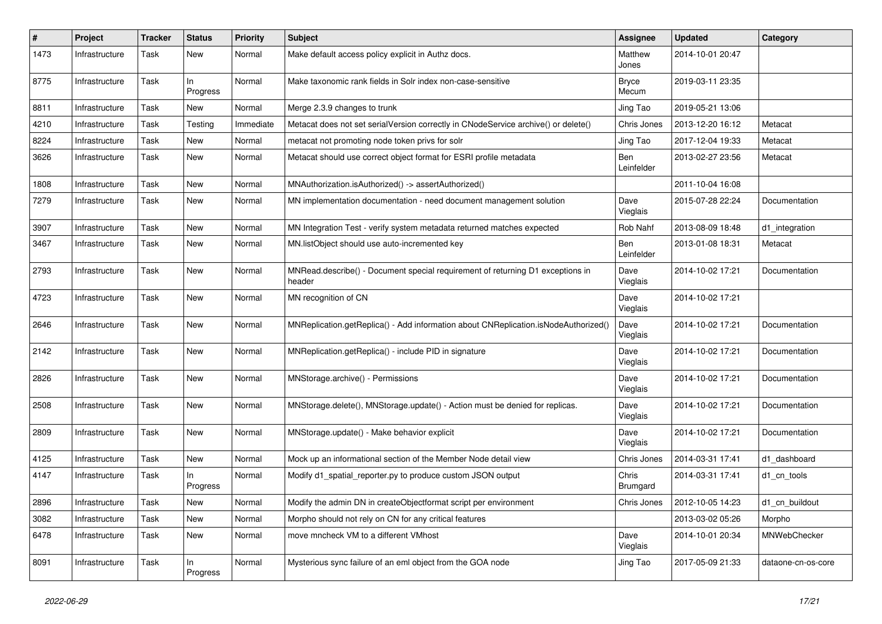| #    | Project        | <b>Tracker</b> | <b>Status</b>   | <b>Priority</b> | Subject                                                                                  | <b>Assignee</b>       | <b>Updated</b>   | Category           |
|------|----------------|----------------|-----------------|-----------------|------------------------------------------------------------------------------------------|-----------------------|------------------|--------------------|
| 1473 | Infrastructure | Task           | New             | Normal          | Make default access policy explicit in Authz docs.                                       | Matthew<br>Jones      | 2014-10-01 20:47 |                    |
| 8775 | Infrastructure | Task           | ln.<br>Progress | Normal          | Make taxonomic rank fields in Solr index non-case-sensitive                              | <b>Bryce</b><br>Mecum | 2019-03-11 23:35 |                    |
| 8811 | Infrastructure | Task           | New             | Normal          | Merge 2.3.9 changes to trunk                                                             | Jing Tao              | 2019-05-21 13:06 |                    |
| 4210 | Infrastructure | Task           | Testing         | Immediate       | Metacat does not set serialVersion correctly in CNodeService archive() or delete()       | Chris Jones           | 2013-12-20 16:12 | Metacat            |
| 8224 | Infrastructure | Task           | New             | Normal          | metacat not promoting node token privs for solr                                          | Jing Tao              | 2017-12-04 19:33 | Metacat            |
| 3626 | Infrastructure | Task           | New             | Normal          | Metacat should use correct object format for ESRI profile metadata                       | Ben<br>Leinfelder     | 2013-02-27 23:56 | Metacat            |
| 1808 | Infrastructure | Task           | <b>New</b>      | Normal          | MNAuthorization.isAuthorized() -> assertAuthorized()                                     |                       | 2011-10-04 16:08 |                    |
| 7279 | Infrastructure | Task           | New             | Normal          | MN implementation documentation - need document management solution                      | Dave<br>Vieglais      | 2015-07-28 22:24 | Documentation      |
| 3907 | Infrastructure | Task           | <b>New</b>      | Normal          | MN Integration Test - verify system metadata returned matches expected                   | Rob Nahf              | 2013-08-09 18:48 | d1_integration     |
| 3467 | Infrastructure | Task           | New             | Normal          | MN.listObject should use auto-incremented key                                            | Ben<br>Leinfelder     | 2013-01-08 18:31 | Metacat            |
| 2793 | Infrastructure | Task           | New             | Normal          | MNRead.describe() - Document special requirement of returning D1 exceptions in<br>header | Dave<br>Vieglais      | 2014-10-02 17:21 | Documentation      |
| 4723 | Infrastructure | Task           | New             | Normal          | MN recognition of CN                                                                     | Dave<br>Vieglais      | 2014-10-02 17:21 |                    |
| 2646 | Infrastructure | Task           | New             | Normal          | MNReplication.getReplica() - Add information about CNReplication.isNodeAuthorized()      | Dave<br>Vieglais      | 2014-10-02 17:21 | Documentation      |
| 2142 | Infrastructure | Task           | New             | Normal          | MNReplication.getReplica() - include PID in signature                                    | Dave<br>Vieglais      | 2014-10-02 17:21 | Documentation      |
| 2826 | Infrastructure | Task           | New             | Normal          | MNStorage.archive() - Permissions                                                        | Dave<br>Vieglais      | 2014-10-02 17:21 | Documentation      |
| 2508 | Infrastructure | Task           | New             | Normal          | MNStorage.delete(), MNStorage.update() - Action must be denied for replicas.             | Dave<br>Vieglais      | 2014-10-02 17:21 | Documentation      |
| 2809 | Infrastructure | Task           | <b>New</b>      | Normal          | MNStorage.update() - Make behavior explicit                                              | Dave<br>Vieglais      | 2014-10-02 17:21 | Documentation      |
| 4125 | Infrastructure | Task           | New             | Normal          | Mock up an informational section of the Member Node detail view                          | Chris Jones           | 2014-03-31 17:41 | d1 dashboard       |
| 4147 | Infrastructure | Task           | In.<br>Progress | Normal          | Modify d1_spatial_reporter.py to produce custom JSON output                              | Chris<br>Brumgard     | 2014-03-31 17:41 | d1 cn tools        |
| 2896 | Infrastructure | Task           | New             | Normal          | Modify the admin DN in createObjectformat script per environment                         | Chris Jones           | 2012-10-05 14:23 | d1_cn_buildout     |
| 3082 | Infrastructure | Task           | New             | Normal          | Morpho should not rely on CN for any critical features                                   |                       | 2013-03-02 05:26 | Morpho             |
| 6478 | Infrastructure | Task           | New             | Normal          | move mncheck VM to a different VMhost                                                    | Dave<br>Vieglais      | 2014-10-01 20:34 | MNWebChecker       |
| 8091 | Infrastructure | Task           | In<br>Progress  | Normal          | Mysterious sync failure of an eml object from the GOA node                               | Jing Tao              | 2017-05-09 21:33 | dataone-cn-os-core |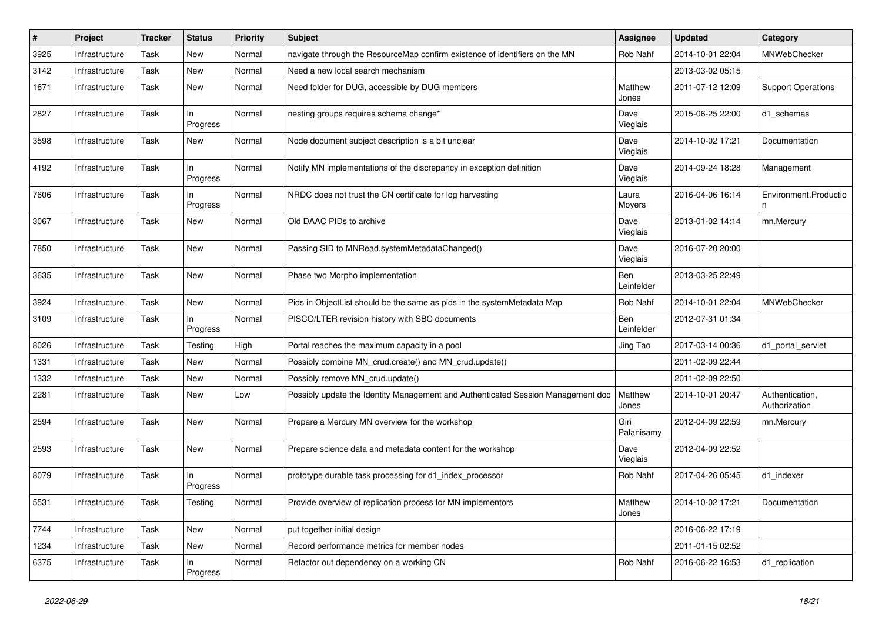| $\#$ | Project        | <b>Tracker</b> | <b>Status</b>   | <b>Priority</b> | <b>Subject</b>                                                                   | <b>Assignee</b>    | <b>Updated</b>   | Category                         |
|------|----------------|----------------|-----------------|-----------------|----------------------------------------------------------------------------------|--------------------|------------------|----------------------------------|
| 3925 | Infrastructure | Task           | New             | Normal          | navigate through the ResourceMap confirm existence of identifiers on the MN      | Rob Nahf           | 2014-10-01 22:04 | MNWebChecker                     |
| 3142 | Infrastructure | Task           | New             | Normal          | Need a new local search mechanism                                                |                    | 2013-03-02 05:15 |                                  |
| 1671 | Infrastructure | Task           | New             | Normal          | Need folder for DUG, accessible by DUG members                                   | Matthew<br>Jones   | 2011-07-12 12:09 | <b>Support Operations</b>        |
| 2827 | Infrastructure | Task           | ln.<br>Progress | Normal          | nesting groups requires schema change*                                           | Dave<br>Vieglais   | 2015-06-25 22:00 | d1_schemas                       |
| 3598 | Infrastructure | Task           | New             | Normal          | Node document subject description is a bit unclear                               | Dave<br>Vieglais   | 2014-10-02 17:21 | Documentation                    |
| 4192 | Infrastructure | Task           | ln.<br>Progress | Normal          | Notify MN implementations of the discrepancy in exception definition             | Dave<br>Vieglais   | 2014-09-24 18:28 | Management                       |
| 7606 | Infrastructure | Task           | ln.<br>Progress | Normal          | NRDC does not trust the CN certificate for log harvesting                        | Laura<br>Moyers    | 2016-04-06 16:14 | Environment.Productio<br>n       |
| 3067 | Infrastructure | Task           | New             | Normal          | Old DAAC PIDs to archive                                                         | Dave<br>Vieglais   | 2013-01-02 14:14 | mn.Mercury                       |
| 7850 | Infrastructure | Task           | New             | Normal          | Passing SID to MNRead.systemMetadataChanged()                                    | Dave<br>Vieglais   | 2016-07-20 20:00 |                                  |
| 3635 | Infrastructure | Task           | New             | Normal          | Phase two Morpho implementation                                                  | Ben<br>Leinfelder  | 2013-03-25 22:49 |                                  |
| 3924 | Infrastructure | Task           | <b>New</b>      | Normal          | Pids in ObjectList should be the same as pids in the systemMetadata Map          | Rob Nahf           | 2014-10-01 22:04 | MNWebChecker                     |
| 3109 | Infrastructure | Task           | ln.<br>Progress | Normal          | PISCO/LTER revision history with SBC documents                                   | Ben<br>Leinfelder  | 2012-07-31 01:34 |                                  |
| 8026 | Infrastructure | Task           | Testing         | High            | Portal reaches the maximum capacity in a pool                                    | Jing Tao           | 2017-03-14 00:36 | d1 portal servlet                |
| 1331 | Infrastructure | Task           | New             | Normal          | Possibly combine MN_crud.create() and MN_crud.update()                           |                    | 2011-02-09 22:44 |                                  |
| 1332 | Infrastructure | Task           | New             | Normal          | Possibly remove MN_crud.update()                                                 |                    | 2011-02-09 22:50 |                                  |
| 2281 | Infrastructure | Task           | <b>New</b>      | Low             | Possibly update the Identity Management and Authenticated Session Management doc | Matthew<br>Jones   | 2014-10-01 20:47 | Authentication,<br>Authorization |
| 2594 | Infrastructure | Task           | <b>New</b>      | Normal          | Prepare a Mercury MN overview for the workshop                                   | Giri<br>Palanisamy | 2012-04-09 22:59 | mn.Mercury                       |
| 2593 | Infrastructure | Task           | New             | Normal          | Prepare science data and metadata content for the workshop                       | Dave<br>Vieglais   | 2012-04-09 22:52 |                                  |
| 8079 | Infrastructure | Task           | ln.<br>Progress | Normal          | prototype durable task processing for d1 index processor                         | Rob Nahf           | 2017-04-26 05:45 | d1 indexer                       |
| 5531 | Infrastructure | Task           | Testing         | Normal          | Provide overview of replication process for MN implementors                      | Matthew<br>Jones   | 2014-10-02 17:21 | Documentation                    |
| 7744 | Infrastructure | Task           | New             | Normal          | put together initial design                                                      |                    | 2016-06-22 17:19 |                                  |
| 1234 | Infrastructure | Task           | New             | Normal          | Record performance metrics for member nodes                                      |                    | 2011-01-15 02:52 |                                  |
| 6375 | Infrastructure | Task           | In<br>Progress  | Normal          | Refactor out dependency on a working CN                                          | Rob Nahf           | 2016-06-22 16:53 | d1_replication                   |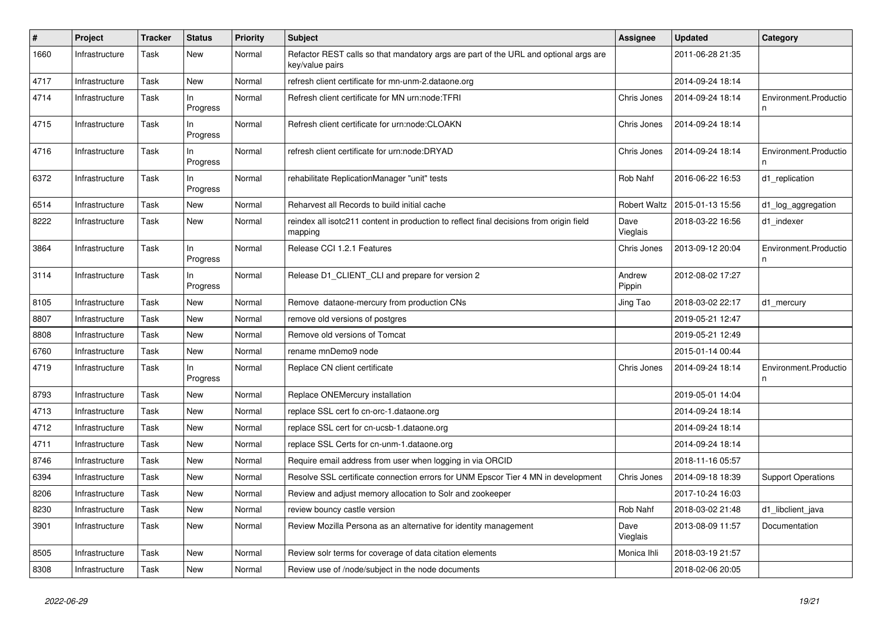| #    | Project        | <b>Tracker</b> | <b>Status</b>   | Priority | <b>Subject</b>                                                                                          | <b>Assignee</b>     | <b>Updated</b>   | Category                   |
|------|----------------|----------------|-----------------|----------|---------------------------------------------------------------------------------------------------------|---------------------|------------------|----------------------------|
| 1660 | Infrastructure | Task           | New             | Normal   | Refactor REST calls so that mandatory args are part of the URL and optional args are<br>key/value pairs |                     | 2011-06-28 21:35 |                            |
| 4717 | Infrastructure | Task           | <b>New</b>      | Normal   | refresh client certificate for mn-unm-2.dataone.org                                                     |                     | 2014-09-24 18:14 |                            |
| 4714 | Infrastructure | Task           | In<br>Progress  | Normal   | Refresh client certificate for MN urn:node:TFRI                                                         | Chris Jones         | 2014-09-24 18:14 | Environment.Productio      |
| 4715 | Infrastructure | Task           | In.<br>Progress | Normal   | Refresh client certificate for urn:node:CLOAKN                                                          | Chris Jones         | 2014-09-24 18:14 |                            |
| 4716 | Infrastructure | Task           | In.<br>Progress | Normal   | refresh client certificate for urn:node:DRYAD                                                           | Chris Jones         | 2014-09-24 18:14 | Environment.Productio<br>n |
| 6372 | Infrastructure | Task           | In<br>Progress  | Normal   | rehabilitate ReplicationManager "unit" tests                                                            | Rob Nahf            | 2016-06-22 16:53 | d1_replication             |
| 6514 | Infrastructure | Task           | <b>New</b>      | Normal   | Reharvest all Records to build initial cache                                                            | <b>Robert Waltz</b> | 2015-01-13 15:56 | d1_log_aggregation         |
| 8222 | Infrastructure | Task           | <b>New</b>      | Normal   | reindex all isotc211 content in production to reflect final decisions from origin field<br>mapping      | Dave<br>Vieglais    | 2018-03-22 16:56 | d1_indexer                 |
| 3864 | Infrastructure | Task           | In<br>Progress  | Normal   | Release CCI 1.2.1 Features                                                                              | Chris Jones         | 2013-09-12 20:04 | Environment.Productio<br>n |
| 3114 | Infrastructure | Task           | In.<br>Progress | Normal   | Release D1_CLIENT_CLI and prepare for version 2                                                         | Andrew<br>Pippin    | 2012-08-02 17:27 |                            |
| 8105 | Infrastructure | Task           | <b>New</b>      | Normal   | Remove dataone-mercury from production CNs                                                              | Jing Tao            | 2018-03-02 22:17 | d1_mercury                 |
| 8807 | Infrastructure | Task           | <b>New</b>      | Normal   | remove old versions of postgres                                                                         |                     | 2019-05-21 12:47 |                            |
| 8808 | Infrastructure | Task           | <b>New</b>      | Normal   | Remove old versions of Tomcat                                                                           |                     | 2019-05-21 12:49 |                            |
| 6760 | Infrastructure | Task           | <b>New</b>      | Normal   | rename mnDemo9 node                                                                                     |                     | 2015-01-14 00:44 |                            |
| 4719 | Infrastructure | Task           | In<br>Progress  | Normal   | Replace CN client certificate                                                                           | Chris Jones         | 2014-09-24 18:14 | Environment.Productio<br>n |
| 8793 | Infrastructure | Task           | New             | Normal   | Replace ONEMercury installation                                                                         |                     | 2019-05-01 14:04 |                            |
| 4713 | Infrastructure | Task           | New             | Normal   | replace SSL cert fo cn-orc-1.dataone.org                                                                |                     | 2014-09-24 18:14 |                            |
| 4712 | Infrastructure | Task           | <b>New</b>      | Normal   | replace SSL cert for cn-ucsb-1.dataone.org                                                              |                     | 2014-09-24 18:14 |                            |
| 4711 | Infrastructure | Task           | New             | Normal   | replace SSL Certs for cn-unm-1.dataone.org                                                              |                     | 2014-09-24 18:14 |                            |
| 8746 | Infrastructure | Task           | New             | Normal   | Require email address from user when logging in via ORCID                                               |                     | 2018-11-16 05:57 |                            |
| 6394 | Infrastructure | Task           | New             | Normal   | Resolve SSL certificate connection errors for UNM Epscor Tier 4 MN in development                       | Chris Jones         | 2014-09-18 18:39 | <b>Support Operations</b>  |
| 8206 | Infrastructure | Task           | <b>New</b>      | Normal   | Review and adjust memory allocation to Solr and zookeeper                                               |                     | 2017-10-24 16:03 |                            |
| 8230 | Infrastructure | Task           | New             | Normal   | review bouncy castle version                                                                            | <b>Rob Nahf</b>     | 2018-03-02 21:48 | d1_libclient_java          |
| 3901 | Infrastructure | Task           | New             | Normal   | Review Mozilla Persona as an alternative for identity management                                        | Dave<br>Vieglais    | 2013-08-09 11:57 | Documentation              |
| 8505 | Infrastructure | Task           | <b>New</b>      | Normal   | Review solr terms for coverage of data citation elements                                                | Monica Ihli         | 2018-03-19 21:57 |                            |
| 8308 | Infrastructure | Task           | New             | Normal   | Review use of /node/subject in the node documents                                                       |                     | 2018-02-06 20:05 |                            |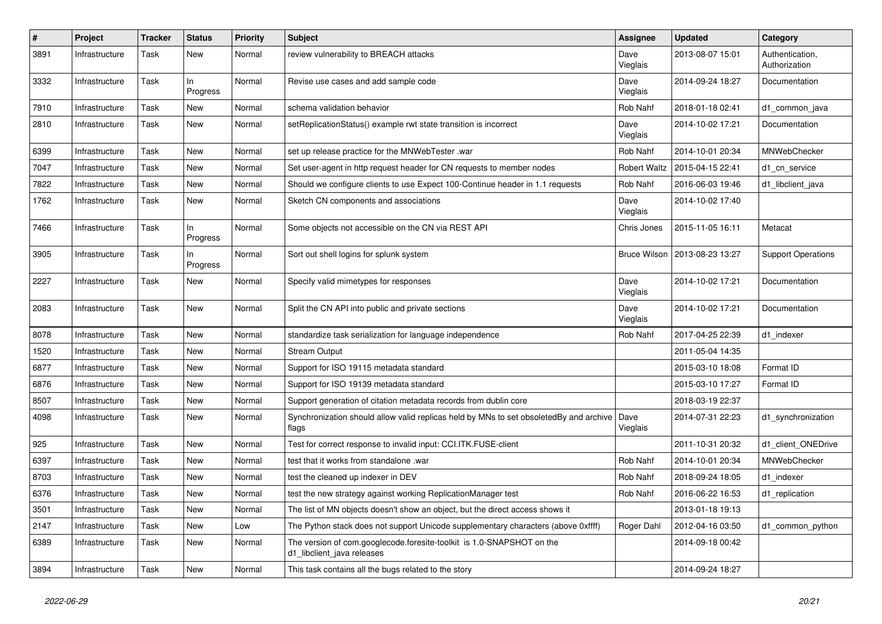| $\vert$ # | Project        | <b>Tracker</b> | <b>Status</b>   | <b>Priority</b> | <b>Subject</b>                                                                                      | Assignee            | <b>Updated</b>   | Category                         |
|-----------|----------------|----------------|-----------------|-----------------|-----------------------------------------------------------------------------------------------------|---------------------|------------------|----------------------------------|
| 3891      | Infrastructure | Task           | <b>New</b>      | Normal          | review vulnerability to BREACH attacks                                                              | Dave<br>Vieglais    | 2013-08-07 15:01 | Authentication,<br>Authorization |
| 3332      | Infrastructure | Task           | ln<br>Progress  | Normal          | Revise use cases and add sample code                                                                | Dave<br>Vieglais    | 2014-09-24 18:27 | Documentation                    |
| 7910      | Infrastructure | Task           | New             | Normal          | schema validation behavior                                                                          | Rob Nahf            | 2018-01-18 02:41 | d1_common_java                   |
| 2810      | Infrastructure | Task           | New             | Normal          | setReplicationStatus() example rwt state transition is incorrect                                    | Dave<br>Vieglais    | 2014-10-02 17:21 | Documentation                    |
| 6399      | Infrastructure | Task           | New             | Normal          | set up release practice for the MNWebTester .war                                                    | Rob Nahf            | 2014-10-01 20:34 | <b>MNWebChecker</b>              |
| 7047      | Infrastructure | Task           | New             | Normal          | Set user-agent in http request header for CN requests to member nodes                               | <b>Robert Waltz</b> | 2015-04-15 22:41 | d1_cn_service                    |
| 7822      | Infrastructure | Task           | New             | Normal          | Should we configure clients to use Expect 100-Continue header in 1.1 requests                       | Rob Nahf            | 2016-06-03 19:46 | d1 libclient java                |
| 1762      | Infrastructure | Task           | New             | Normal          | Sketch CN components and associations                                                               | Dave<br>Vieglais    | 2014-10-02 17:40 |                                  |
| 7466      | Infrastructure | Task           | ln<br>Progress  | Normal          | Some objects not accessible on the CN via REST API                                                  | Chris Jones         | 2015-11-05 16:11 | Metacat                          |
| 3905      | Infrastructure | Task           | In.<br>Progress | Normal          | Sort out shell logins for splunk system                                                             | <b>Bruce Wilson</b> | 2013-08-23 13:27 | <b>Support Operations</b>        |
| 2227      | Infrastructure | Task           | <b>New</b>      | Normal          | Specify valid mimetypes for responses                                                               | Dave<br>Vieglais    | 2014-10-02 17:21 | Documentation                    |
| 2083      | Infrastructure | Task           | New             | Normal          | Split the CN API into public and private sections                                                   | Dave<br>Vieglais    | 2014-10-02 17:21 | Documentation                    |
| 8078      | Infrastructure | Task           | New             | Normal          | standardize task serialization for language independence                                            | Rob Nahf            | 2017-04-25 22:39 | d1 indexer                       |
| 1520      | Infrastructure | Task           | New             | Normal          | <b>Stream Output</b>                                                                                |                     | 2011-05-04 14:35 |                                  |
| 6877      | Infrastructure | Task           | New             | Normal          | Support for ISO 19115 metadata standard                                                             |                     | 2015-03-10 18:08 | Format ID                        |
| 6876      | Infrastructure | Task           | New             | Normal          | Support for ISO 19139 metadata standard                                                             |                     | 2015-03-10 17:27 | Format ID                        |
| 8507      | Infrastructure | Task           | New             | Normal          | Support generation of citation metadata records from dublin core                                    |                     | 2018-03-19 22:37 |                                  |
| 4098      | Infrastructure | Task           | New             | Normal          | Synchronization should allow valid replicas held by MNs to set obsoletedBy and archive<br>flags     | Dave<br>Vieglais    | 2014-07-31 22:23 | d1_synchronization               |
| 925       | Infrastructure | Task           | <b>New</b>      | Normal          | Test for correct response to invalid input: CCI.ITK.FUSE-client                                     |                     | 2011-10-31 20:32 | d1 client ONEDrive               |
| 6397      | Infrastructure | Task           | New             | Normal          | test that it works from standalone .war                                                             | Rob Nahf            | 2014-10-01 20:34 | MNWebChecker                     |
| 8703      | Infrastructure | Task           | New             | Normal          | test the cleaned up indexer in DEV                                                                  | Rob Nahf            | 2018-09-24 18:05 | d1 indexer                       |
| 6376      | Infrastructure | Task           | New             | Normal          | test the new strategy against working ReplicationManager test                                       | Rob Nahf            | 2016-06-22 16:53 | d1_replication                   |
| 3501      | Infrastructure | Task           | New             | Normal          | The list of MN objects doesn't show an object, but the direct access shows it                       |                     | 2013-01-18 19:13 |                                  |
| 2147      | Infrastructure | Task           | New             | Low             | The Python stack does not support Unicode supplementary characters (above 0xffff)                   | Roger Dahl          | 2012-04-16 03:50 | d1 common python                 |
| 6389      | Infrastructure | Task           | New             | Normal          | The version of com.googlecode.foresite-toolkit is 1.0-SNAPSHOT on the<br>d1 libclient java releases |                     | 2014-09-18 00:42 |                                  |
| 3894      | Infrastructure | Task           | New             | Normal          | This task contains all the bugs related to the story                                                |                     | 2014-09-24 18:27 |                                  |